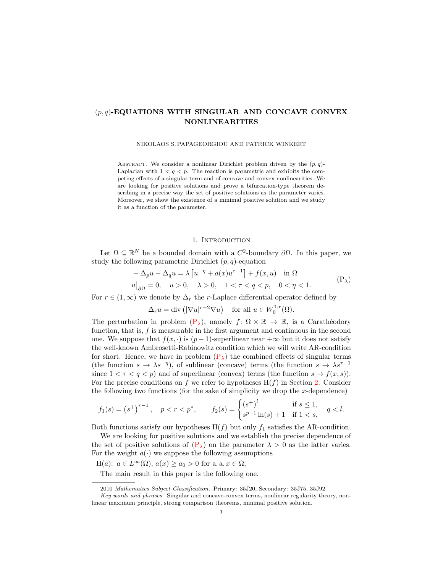# $(p,q)$ -EQUATIONS WITH SINGULAR AND CONCAVE CONVEX NONLINEARITIES

NIKOLAOS S. PAPAGEORGIOU AND PATRICK WINKERT

ABSTRACT. We consider a nonlinear Dirichlet problem driven by the  $(p, q)$ -Laplacian with  $1 < q < p$ . The reaction is parametric and exhibits the competing effects of a singular term and of concave and convex nonlinearities. We are looking for positive solutions and prove a bifurcation-type theorem describing in a precise way the set of positive solutions as the parameter varies. Moreover, we show the existence of a minimal positive solution and we study it as a function of the parameter.

### <span id="page-0-0"></span>1. INTRODUCTION

Let  $\Omega \subseteq \mathbb{R}^N$  be a bounded domain with a  $C^2$ -boundary  $\partial\Omega$ . In this paper, we study the following parametric Dirichlet  $(p, q)$ -equation

$$
-\Delta_p u - \Delta_q u = \lambda \left[ u^{-\eta} + a(x) u^{\tau - 1} \right] + f(x, u) \quad \text{in } \Omega
$$
  
 
$$
u\big|_{\partial\Omega} = 0, \quad u > 0, \quad \lambda > 0, \quad 1 < \tau < q < p, \quad 0 < \eta < 1.
$$
 (P<sub>\lambda</sub>)

For  $r \in (1,\infty)$  we denote by  $\Delta_r$  the r-Laplace differential operator defined by

$$
\Delta_r u = \text{div} \left( |\nabla u|^{r-2} \nabla u \right) \quad \text{for all } u \in W_0^{1,r}(\Omega).
$$

The perturbation in problem  $(P_{\lambda})$  $(P_{\lambda})$ , namely  $f: \Omega \times \mathbb{R} \to \mathbb{R}$ , is a Carathéodory function, that is,  $f$  is measurable in the first argument and continuous in the second one. We suppose that  $f(x, \cdot)$  is  $(p-1)$ -superlinear near  $+\infty$  but it does not satisfy the well-known Ambrosetti-Rabinowitz condition which we will write AR-condition for short. Hence, we have in problem  $(P_{\lambda})$  $(P_{\lambda})$  the combined effects of singular terms (the function  $s \to \lambda s^{-\eta}$ ), of sublinear (concave) terms (the function  $s \to \lambda s^{\tau-1}$ since  $1 < \tau < q < p$ ) and of superlinear (convex) terms (the function  $s \to f(x, s)$ ). For the precise conditions on f we refer to hypotheses  $H(f)$  in Section [2.](#page-1-0) Consider the following two functions (for the sake of simplicity we drop the  $x$ -dependence)

$$
f_1(s) = (s^+)^{r-1}, \quad p < r < p^*, \qquad f_2(s) = \begin{cases} (s^+)^l & \text{if } s \le 1, \\ s^{p-1} \ln(s) + 1 & \text{if } 1 < s, \end{cases} \quad q < l.
$$

Both functions satisfy our hypotheses  $H(f)$  but only  $f_1$  satisfies the AR-condition.

We are looking for positive solutions and we establish the precise dependence of the set of positive solutions of  $(P_{\lambda})$  $(P_{\lambda})$  on the parameter  $\lambda > 0$  as the latter varies. For the weight  $a(\cdot)$  we suppose the following assumptions

 $H(a): a \in L^{\infty}(\Omega), a(x) \ge a_0 > 0$  for a. a.  $x \in \Omega;$ 

The main result in this paper is the following one.

<sup>2010</sup> Mathematics Subject Classification. Primary: 35J20, Secondary: 35J75, 35J92.

Key words and phrases. Singular and concave-convex terms, nonlinear regularity theory, nonlinear maximum principle, strong comparison theorems, minimal positive solution.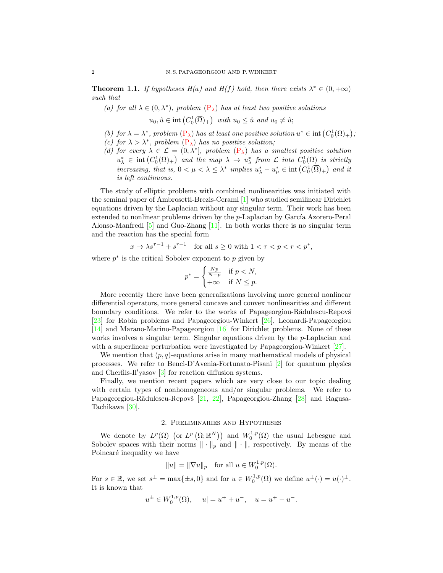**Theorem 1.1.** If hypotheses  $H(a)$  and  $H(f)$  hold, then there exists  $\lambda^* \in (0, +\infty)$ such that

(a) for all  $\lambda \in (0, \lambda^*)$ , problem  $(P_{\lambda})$  $(P_{\lambda})$  has at least two positive solutions  $u_0, \hat{u} \in \text{int}\left(C_0^1(\overline{\Omega})_+\right)$  with  $u_0 \leq \hat{u}$  and  $u_0 \neq \hat{u}$ ;

- (b) for  $\lambda = \lambda^*$ , problem  $(P_{\lambda})$  $(P_{\lambda})$  has at least one positive solution  $u^* \in \text{int}(C_0^1(\overline{\Omega})_+)$ ;
- (c) for  $\lambda > \lambda^*$ , problem  $(P_{\lambda})$  $(P_{\lambda})$  has no positive solution;
- (d) for every  $\lambda \in \mathcal{L} = (0, \lambda^*]$ , problem  $(P_{\lambda})$  $(P_{\lambda})$  has a smallest positive solution  $u^*_{\lambda} \in \text{int}\left(C_0^1(\overline{\Omega})_+\right)$  and the map  $\lambda \to u^*_{\lambda}$  from  $\mathcal L$  into  $C_0^1(\overline{\Omega})$  is strictly increasing, that is,  $0 < \mu < \lambda \leq \lambda^*$  implies  $u_{\lambda}^* - u_{\mu}^* \in \text{int}\left(C_0^1(\overline{\Omega})_+\right)$  and it is left continuous.

The study of elliptic problems with combined nonlinearities was initiated with the seminal paper of Ambrosetti-Brezis-Cerami [\[1\]](#page-20-0) who studied semilinear Dirichlet equations driven by the Laplacian without any singular term. Their work has been extended to nonlinear problems driven by the  $p$ -Laplacian by García Azorero-Peral Alonso-Manfredi [\[5\]](#page-20-1) and Guo-Zhang [\[11\]](#page-20-2). In both works there is no singular term and the reaction has the special form

$$
x \to \lambda s^{\tau - 1} + s^{\tau - 1} \quad \text{for all } s \ge 0 \text{ with } 1 < \tau < p < r < p^*,
$$

where  $p^*$  is the critical Sobolev exponent to  $p$  given by

$$
p^* = \begin{cases} \frac{Np}{N-p} & \text{if } p < N, \\ +\infty & \text{if } N \le p. \end{cases}
$$

More recently there have been generalizations involving more general nonlinear differential operators, more general concave and convex nonlinearities and different boundary conditions. We refer to the works of Papageorgiou-Rădulescu-Repovš [\[23\]](#page-21-0) for Robin problems and Papageorgiou-Winkert [\[26\]](#page-21-1), Leonardi-Papageorgiou [\[14\]](#page-20-3) and Marano-Marino-Papageorgiou [\[16\]](#page-20-4) for Dirichlet problems. None of these works involves a singular term. Singular equations driven by the p-Laplacian and with a superlinear perturbation were investigated by Papageorgiou-Winkert [\[27\]](#page-21-2).

We mention that  $(p, q)$ -equations arise in many mathematical models of physical processes. We refer to Benci-D'Avenia-Fortunato-Pisani [\[2\]](#page-20-5) for quantum physics and Cherfils-Il'yasov  $\begin{bmatrix} 3 \end{bmatrix}$  for reaction diffusion systems.

Finally, we mention recent papers which are very close to our topic dealing with certain types of nonhomogeneous and/or singular problems. We refer to Papageorgiou-Rădulescu-Repovš [\[21,](#page-21-3) [22\]](#page-21-4), Papageorgiou-Zhang [\[28\]](#page-21-5) and Ragusa-Tachikawa [\[30\]](#page-21-6).

## 2. Preliminaries and Hypotheses

<span id="page-1-0"></span>We denote by  $L^p(\Omega)$  (or  $L^p(\Omega;\mathbb{R}^N)$ ) and  $W_0^{1,p}(\Omega)$  the usual Lebesgue and Sobolev spaces with their norms  $\|\cdot\|_p$  and  $\|\cdot\|$ , respectively. By means of the Poincaré inequality we have

$$
||u|| = ||\nabla u||_p \quad \text{for all } u \in W_0^{1,p}(\Omega).
$$

For  $s \in \mathbb{R}$ , we set  $s^{\pm} = \max\{\pm s, 0\}$  and for  $u \in W_0^{1,p}(\Omega)$  we define  $u^{\pm}(\cdot) = u(\cdot)^{\pm}$ . It is known that

$$
u^{\pm} \in W_0^{1,p}(\Omega), \quad |u| = u^+ + u^-, \quad u = u^+ - u^-.
$$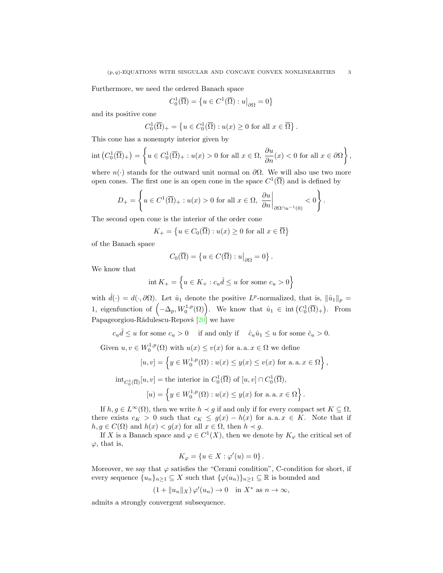Furthermore, we need the ordered Banach space

$$
C_0^1(\overline{\Omega}) = \left\{ u \in C^1(\overline{\Omega}) : u \middle|_{\partial \Omega} = 0 \right\}
$$

and its positive cone

$$
C_0^1(\overline{\Omega})_+ = \left\{ u \in C_0^1(\overline{\Omega}) : u(x) \ge 0 \text{ for all } x \in \overline{\Omega} \right\}.
$$

This cone has a nonempty interior given by

$$
\operatorname{int}\left(C_0^1(\overline{\Omega})_+\right) = \left\{ u \in C_0^1(\overline{\Omega})_+ : u(x) > 0 \text{ for all } x \in \Omega, \frac{\partial u}{\partial n}(x) < 0 \text{ for all } x \in \partial\Omega \right\},\
$$

where  $n(\cdot)$  stands for the outward unit normal on  $\partial\Omega$ . We will also use two more open cones. The first one is an open cone in the space  $C^1(\overline{\Omega})$  and is defined by

$$
D_{+} = \left\{ u \in C^{1}(\overline{\Omega})_{+} : u(x) > 0 \text{ for all } x \in \Omega, \left. \frac{\partial u}{\partial n} \right|_{\partial \Omega \cap u^{-1}(0)} < 0 \right\}.
$$

The second open cone is the interior of the order cone

$$
K_{+} = \left\{ u \in C_{0}(\overline{\Omega}) : u(x) \ge 0 \text{ for all } x \in \overline{\Omega} \right\}
$$

of the Banach space

$$
C_0(\overline{\Omega}) = \left\{ u \in C(\overline{\Omega}) : u \big|_{\partial \Omega} = 0 \right\}.
$$

We know that

$$
int K_{+} = \left\{ u \in K_{+} : c_{u} \hat{d} \le u \text{ for some } c_{u} > 0 \right\}
$$

with  $\hat{d}(\cdot) = d(\cdot, \partial \Omega)$ . Let  $\hat{u}_1$  denote the positive  $L^p$ -normalized, that is,  $\|\hat{u}_1\|_p =$ 1, eigenfunction of  $(-\Delta_p, W_0^{1,p}(\Omega))$ . We know that  $\hat{u}_1 \in \text{int}(C_0^1(\overline{\Omega})_+)$ . From Papageorgiou-Rădulescu-Repovš  $[20]$  we have

 $c_u \hat{d} \leq u$  for some  $c_u > 0$  if and only if  $\hat{c}_u \hat{u}_1 \leq u$  for some  $\hat{c}_u > 0$ .

Given  $u, v \in W_0^{1,p}(\Omega)$  with  $u(x) \le v(x)$  for a. a.  $x \in \Omega$  we define

$$
[u, v] = \left\{ y \in W_0^{1, p}(\Omega) : u(x) \le y(x) \le v(x) \text{ for a. a. } x \in \Omega \right\},\
$$

$$
\mathrm{int}_{C_0^1(\overline{\Omega})}[u, v] = \text{the interior in } C_0^1(\overline{\Omega}) \text{ of } [u, v] \cap C_0^1(\overline{\Omega}),
$$

$$
[u) = \left\{ y \in W_0^{1, p}(\Omega) : u(x) \le y(x) \text{ for a. a. } x \in \Omega \right\}.
$$

If  $h, g \in L^{\infty}(\Omega)$ , then we write  $h \prec g$  if and only if for every compact set  $K \subseteq \Omega$ , there exists  $c_K > 0$  such that  $c_K \leq g(x) - h(x)$  for a.a.  $x \in K$ . Note that if  $h, g \in C(\Omega)$  and  $h(x) < g(x)$  for all  $x \in \Omega$ , then  $h \prec g$ .

If X is a Banach space and  $\varphi \in C^1(X)$ , then we denote by  $K_{\varphi}$  the critical set of  $\varphi$ , that is,

$$
K_{\varphi} = \{ u \in X : \varphi'(u) = 0 \}.
$$

Moreover, we say that  $\varphi$  satisfies the "Cerami condition", C-condition for short, if every sequence  $\{u_n\}_{n\geq 1}\subseteq X$  such that  $\{\varphi(u_n)\}_{n\geq 1}\subseteq \mathbb{R}$  is bounded and

$$
(1 + \|u_n\|_X)\varphi'(u_n) \to 0 \quad \text{in } X^* \text{ as } n \to \infty,
$$

admits a strongly convergent subsequence.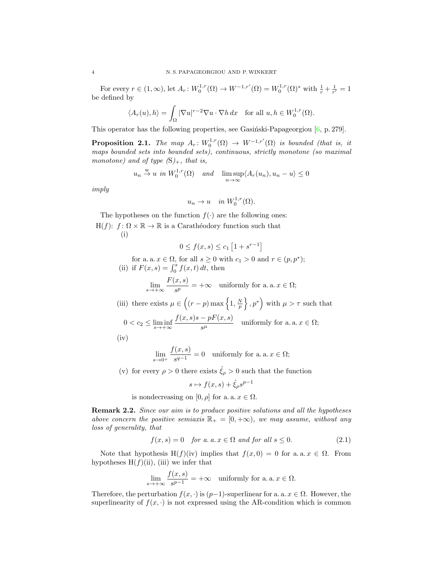For every  $r \in (1, \infty)$ , let  $A_r: W_0^{1,r}(\Omega) \to W^{-1,r'}(\Omega) = W_0^{1,r}(\Omega)^*$  with  $\frac{1}{r} + \frac{1}{r'} = 1$ be defined by

$$
\langle A_r(u), h \rangle = \int_{\Omega} |\nabla u|^{r-2} \nabla u \cdot \nabla h \, dx \quad \text{for all } u, h \in W_0^{1,r}(\Omega).
$$

This operator has the following properties, see Gasiński-Papageorgiou  $[6, p. 279]$  $[6, p. 279]$ .

<span id="page-3-1"></span>**Proposition 2.1.** The map  $A_r: W_0^{1,r}(\Omega) \to W^{-1,r'}(\Omega)$  is bounded (that is, it maps bounded sets into bounded sets), continuous, strictly monotone (so maximal monotone) and of type  $(S)_+$ , that is,

$$
u_n \stackrel{w}{\to} u
$$
 in  $W_0^{1,r}(\Omega)$  and  $\lim_{n \to \infty} \sup \langle A_r(u_n), u_n - u \rangle \le 0$ 

imply

$$
u_n \to u \quad in \ W_0^{1,r}(\Omega).
$$

The hypotheses on the function  $f(\cdot)$  are the following ones:  $H(f)$ :  $f: \Omega \times \mathbb{R} \to \mathbb{R}$  is a Carathéodory function such that (i)

$$
0 \le f(x, s) \le c_1 \left[ 1 + s^{r-1} \right]
$$

for a. a.  $x \in \Omega$ , for all  $s \geq 0$  with  $c_1 > 0$  and  $r \in (p, p^*)$ ; (ii) if  $F(x, s) = \int_0^s f(x, t) dt$ , then

$$
\lim_{s \to +\infty} \frac{F(x, s)}{s^p} = +\infty \quad \text{uniformly for a. a. } x \in \Omega;
$$

(iii) there exists  $\mu \in \left( (r-p) \max \left\{1, \frac{N}{p} \right\}, p^* \right)$  with  $\mu > \tau$  such that

$$
0 < c_2 \le \liminf_{s \to +\infty} \frac{f(x,s)s - pF(x,s)}{s^{\mu}} \quad \text{uniformly for a. a. } x \in \Omega;
$$

(iv)

$$
\lim_{s \to 0^+} \frac{f(x, s)}{s^{q-1}} = 0 \quad \text{uniformly for a. a. } x \in \Omega;
$$

(v) for every  $\rho > 0$  there exists  $\hat{\xi}_{\rho} > 0$  such that the function

<span id="page-3-0"></span>
$$
s \mapsto f(x, s) + \hat{\xi}_{\rho} s^{p-1}
$$

is nondecreasing on [0,  $\rho$ ] for a. a.  $x \in \Omega$ .

**Remark 2.2.** Since our aim is to produce positive solutions and all the hypotheses above concern the positive semiaxis  $\mathbb{R}_+ = [0, +\infty)$ , we may assume, without any loss of generality, that

$$
f(x,s) = 0 \quad \text{for a. } a \text{. } x \in \Omega \text{ and for all } s \le 0. \tag{2.1}
$$

Note that hypothesis H(f)(iv) implies that  $f(x, 0) = 0$  for a. a.  $x \in \Omega$ . From hypotheses  $H(f)(ii)$ , (iii) we infer that

$$
\lim_{s \to +\infty} \frac{f(x, s)}{s^{p-1}} = +\infty \quad \text{uniformly for a. a. } x \in \Omega.
$$

Therefore, the perturbation  $f(x, \cdot)$  is  $(p-1)$ -superlinear for a. a.  $x \in \Omega$ . However, the superlinearity of  $f(x, \cdot)$  is not expressed using the AR-condition which is common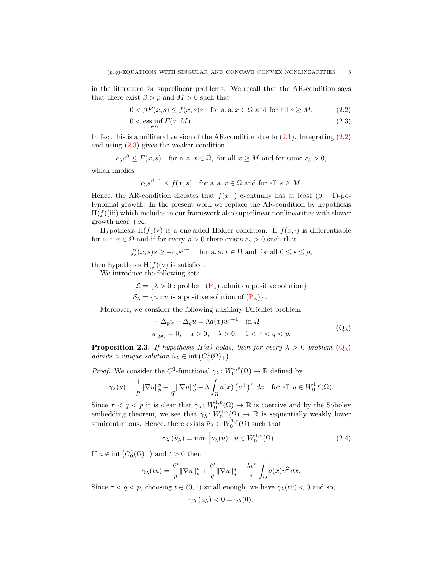in the literature for superlinear problems. We recall that the AR-condition says that there exist  $\beta > p$  and  $M > 0$  such that

$$
0 < \beta F(x, s) \le f(x, s)s \quad \text{for a. a. } x \in \Omega \text{ and for all } s \ge M,\tag{2.2}
$$

<span id="page-4-0"></span>
$$
0 < \underset{x \in \Omega}{\text{ess inf}} F(x, M). \tag{2.3}
$$

In fact this is a uniliteral version of the AR-condition due to  $(2.1)$ . Integrating  $(2.2)$ and using [\(2.3\)](#page-4-1) gives the weaker condition

$$
c_3s^{\beta} \leq F(x,s)
$$
 for a. a.  $x \in \Omega$ , for all  $x \geq M$  and for some  $c_3 > 0$ ,

which implies

<span id="page-4-1"></span>
$$
c_3 s^{\beta - 1} \le f(x, s)
$$
 for a. a.  $x \in \Omega$  and for all  $s \ge M$ .

Hence, the AR-condition dictates that  $f(x, \cdot)$  eventually has at least  $(\beta - 1)$ -polynomial growth. In the present work we replace the AR-condition by hypothesis  $H(f)(iii)$  which includes in our framework also superlinear nonlinearities with slower growth near  $+\infty$ .

Hypothesis H(f)(v) is a one-sided Hölder condition. If  $f(x, \cdot)$  is differentiable for a. a.  $x \in \Omega$  and if for every  $\rho > 0$  there exists  $c_{\rho} > 0$  such that

$$
f'_s(x, s)s \ge -c_\rho s^{p-1}
$$
 for a.a.  $x \in \Omega$  and for all  $0 \le s \le \rho$ ,

then hypothesis  $H(f)(v)$  is satisfied.

We introduce the following sets

$$
\mathcal{L} = \{ \lambda > 0 : problem (P_{\lambda}) \text{ admits a positive solution} \},
$$

 $S_{\lambda} = \{u : u \text{ is a positive solution of } (\mathbf{P}_{\lambda})\}.$ 

Moreover, we consider the following auxiliary Dirichlet problem

<span id="page-4-2"></span>
$$
-\Delta_p u - \Delta_q u = \lambda a(x) u^{\tau - 1} \quad \text{in } \Omega
$$
  
 
$$
u\big|_{\partial\Omega} = 0, \quad u > 0, \quad \lambda > 0, \quad 1 < \tau < q < p. \tag{Q_\lambda}
$$

<span id="page-4-4"></span>**Proposition 2.3.** If hypothesis H(a) holds, then for every  $\lambda > 0$  problem  $(Q_{\lambda})$  $(Q_{\lambda})$ admits a unique solution  $\tilde{u}_{\lambda} \in \text{int}\left(C_0^1(\overline{\Omega})_+\right)$ .

*Proof.* We consider the  $C^1$ -functional  $\gamma_\lambda \colon W_0^{1,p}(\Omega) \to \mathbb{R}$  defined by

$$
\gamma_{\lambda}(u) = \frac{1}{p} \|\nabla u\|_{p}^{p} + \frac{1}{q} \|\nabla u\|_{q}^{q} - \lambda \int_{\Omega} a(x) \left(u^{+}\right)^{\tau} dx \quad \text{for all } u \in W_{0}^{1, p}(\Omega).
$$

Since  $\tau < q < p$  it is clear that  $\gamma_{\lambda}: W_0^{1,p}(\Omega) \to \mathbb{R}$  is coercive and by the Sobolev embedding theorem, we see that  $\gamma_{\lambda} \colon W_0^{1,p}(\Omega) \to \mathbb{R}$  is sequentially weakly lower semicontinuous. Hence, there exists  $\tilde{u}_{\lambda} \in W_0^{1,p}(\Omega)$  such that

$$
\gamma_{\lambda}(\tilde{u}_{\lambda}) = \min \left[ \gamma_{\lambda}(u) : u \in W_0^{1,p}(\Omega) \right]. \tag{2.4}
$$

If  $u \in \text{int}(C_0^1(\overline{\Omega})_+)$  and  $t > 0$  then

$$
\gamma_\lambda(tu)=\frac{t^p}{p}\|\nabla u\|_p^p+\frac{t^q}{q}\|\nabla u\|_q^q-\frac{\lambda t^\tau}{\tau}\int_\Omega a(x)u^2\,dx.
$$

Since  $\tau < q < p$ , choosing  $t \in (0, 1)$  small enough, we have  $\gamma_{\lambda}(tu) < 0$  and so,

<span id="page-4-3"></span>
$$
\gamma_{\lambda}(\tilde{u}_{\lambda}) < 0 = \gamma_{\lambda}(0),
$$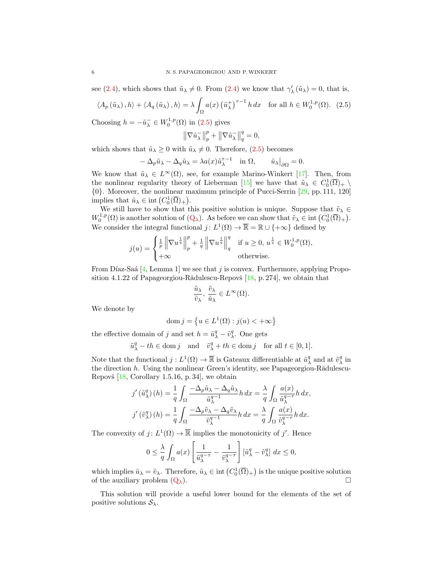see [\(2.4\)](#page-4-3), which shows that  $\tilde{u}_{\lambda} \neq 0$ . From (2.4) we know that  $\gamma'_{\lambda}(\tilde{u}_{\lambda}) = 0$ , that is,

$$
\langle A_p(\tilde{u}_\lambda), h \rangle + \langle A_q(\tilde{u}_\lambda), h \rangle = \lambda \int_{\Omega} a(x) \left(\tilde{u}_\lambda^+\right)^{\tau-1} h \, dx \quad \text{for all } h \in W_0^{1,p}(\Omega). \tag{2.5}
$$

Choosing  $h = -\tilde{u}_{\lambda}^- \in W_0^{1,p}(\Omega)$  in [\(2.5\)](#page-5-0) gives

<span id="page-5-0"></span>
$$
\left\|\nabla\tilde{u}_{\lambda}^{-}\right\|_{p}^{p} + \left\|\nabla\tilde{u}_{\lambda}^{-}\right\|_{q}^{q} = 0,
$$

which shows that  $\tilde{u}_{\lambda} \geq 0$  with  $\tilde{u}_{\lambda} \neq 0$ . Therefore, [\(2.5\)](#page-5-0) becomes

$$
-\Delta_p \tilde{u}_\lambda - \Delta_q \tilde{u}_\lambda = \lambda a(x) \tilde{u}_\lambda^{\tau - 1} \quad \text{in } \Omega, \qquad \tilde{u}_\lambda \big|_{\partial \Omega} = 0.
$$

We know that  $\tilde{u}_{\lambda} \in L^{\infty}(\Omega)$ , see, for example Marino-Winkert [\[17\]](#page-21-8). Then, from the nonlinear regularity theory of Lieberman [\[15\]](#page-20-8) we have that  $\tilde{u}_{\lambda} \in C_0^1(\overline{\Omega})_+ \setminus$ {0}. Moreover, the nonlinear maximum principle of Pucci-Serrin [\[29,](#page-21-9) pp. 111, 120] implies that  $\tilde{u}_{\lambda} \in \text{int} (C_0^1(\overline{\Omega})_+).$ 

We still have to show that this positive solution is unique. Suppose that  $\tilde{v}_{\lambda} \in$  $W_0^{1,p}(\Omega)$  is another solution of  $(Q_\lambda)$  $(Q_\lambda)$ . As before we can show that  $\tilde{v}_\lambda \in \text{int}(C_0^1(\overline{\Omega})_+)$ . We consider the integral functional  $j: L^1(\Omega) \to \overline{\mathbb{R}} = \mathbb{R} \cup \{+\infty\}$  defined by

$$
j(u) = \begin{cases} \frac{1}{p} \left\| \nabla u^{\frac{1}{q}} \right\|_p^p + \frac{1}{q} \left\| \nabla u^{\frac{1}{q}} \right\|_q^q & \text{if } u \ge 0, u^{\frac{1}{q}} \in W_0^{1,p}(\Omega), \\ +\infty & \text{otherwise.} \end{cases}
$$

From Díaz-Saá [\[4,](#page-20-9) Lemma 1] we see that j is convex. Furthermore, applying Proposition 4.1.22 of Papageorgiou-R $\ddot{\text{add}}$ ulescu-Repovš [\[18,](#page-21-10) p. 274], we obtain that

$$
\frac{\tilde u_\lambda}{\tilde v_\lambda},\, \frac{\tilde v_\lambda}{\tilde u_\lambda}\in L^\infty(\Omega).
$$

We denote by

$$
\operatorname{dom} j = \left\{ u \in L^1(\Omega) : j(u) < +\infty \right\}
$$

the effective domain of j and set  $h = \tilde{u}^q_{\lambda} - \tilde{v}^q_{\lambda}$ . One gets

$$
\tilde{u}^q_\lambda - th \in \text{dom } j \quad \text{and} \quad \tilde{v}^q_\lambda + th \in \text{dom } j \quad \text{for all } t \in [0,1].
$$

Note that the functional  $j: L^1(\Omega) \to \overline{\mathbb{R}}$  is Gateaux differentiable at  $\tilde{u}^q_\lambda$  and at  $\tilde{v}^q_\lambda$  in the direction  $h$ . Using the nonlinear Green's identity, see Papageorgiou-R $\ddot{a}$ dulescu-Repovš  $[18, Corollary 1.5.16, p. 34]$  $[18, Corollary 1.5.16, p. 34]$ , we obtain

$$
j'\left(\tilde{u}_{\lambda}^{q}\right)(h) = \frac{1}{q} \int_{\Omega} \frac{-\Delta_{p}\tilde{u}_{\lambda} - \Delta_{q}\tilde{u}_{\lambda}}{\tilde{u}_{\lambda}^{q-1}} h \, dx = \frac{\lambda}{q} \int_{\Omega} \frac{a(x)}{\tilde{u}_{\lambda}^{q-1}} h \, dx,
$$

$$
j'\left(\tilde{v}_{\lambda}^{q}\right)(h) = \frac{1}{q} \int_{\Omega} \frac{-\Delta_{p}\tilde{v}_{\lambda} - \Delta_{q}\tilde{v}_{\lambda}}{\tilde{v}_{\lambda}^{q-1}} h \, dx = \frac{\lambda}{q} \int_{\Omega} \frac{a(x)}{\tilde{v}_{\lambda}^{q-1}} h \, dx.
$$

The convexity of  $j: L^1(\Omega) \to \overline{\mathbb{R}}$  implies the monotonicity of j'. Hence

$$
0 \leq \frac{\lambda}{q} \int_{\Omega} a(x) \left[ \frac{1}{\tilde{u}_{\lambda}^{q-\tau}} - \frac{1}{\tilde{v}_{\lambda}^{q-\tau}} \right] [\tilde{u}_{\lambda}^q - \tilde{v}_{\lambda}^q] dx \leq 0,
$$

which implies  $\tilde{u}_{\lambda} = \tilde{v}_{\lambda}$ . Therefore,  $\tilde{u}_{\lambda} \in \text{int}\left(C_0^1(\overline{\Omega})_+\right)$  is the unique positive solution of the auxiliary problem  $(Q_\lambda)$  $(Q_\lambda)$ .

This solution will provide a useful lower bound for the elements of the set of positive solutions  $S_{\lambda}$ .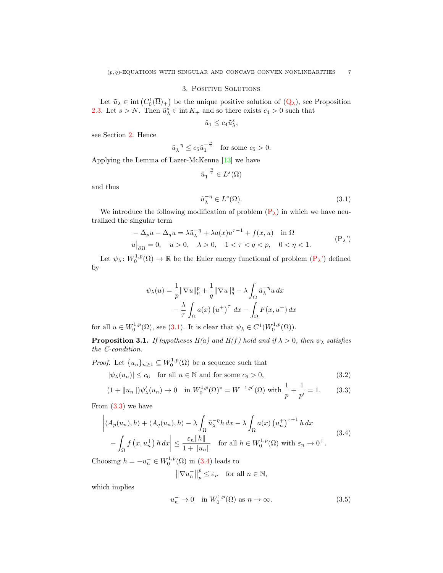### 3. Positive Solutions

Let  $\tilde{u}_{\lambda} \in \text{int}(C_0^1(\overline{\Omega})_+)$  be the unique positive solution of  $(Q_{\lambda})$  $(Q_{\lambda})$ , see Proposition [2.3.](#page-4-4) Let  $s > N$ . Then  $\tilde{u}_{\lambda}^s \in \text{int } K_+$  and so there exists  $c_4 > 0$  such that

$$
\hat{u}_1 \le c_4 \tilde{u}^s_\lambda,
$$

see Section [2.](#page-1-0) Hence

$$
\tilde{u}_{\lambda}^{-\eta} \le c_5 \hat{u}_1^{-\frac{\eta}{s}} \quad \text{for some } c_5 > 0.
$$

Applying the Lemma of Lazer-McKenna [\[13\]](#page-20-10) we have

$$
\hat{u}_1^{-\frac{\eta}{s}}\in L^s(\Omega)
$$

and thus

<span id="page-6-1"></span><span id="page-6-0"></span>
$$
\tilde{u}_{\lambda}^{-\eta} \in L^{s}(\Omega). \tag{3.1}
$$

We introduce the following modification of problem  $(P_{\lambda})$  $(P_{\lambda})$  in which we have neutralized the singular term

$$
-\Delta_p u - \Delta_q u = \lambda \tilde{u}_{\lambda}^{-\eta} + \lambda a(x) u^{\tau - 1} + f(x, u) \quad \text{in } \Omega
$$
  

$$
u|_{\partial \Omega} = 0, \quad u > 0, \quad \lambda > 0, \quad 1 < \tau < q < p, \quad 0 < \eta < 1.
$$
 (P<sub>\lambda</sub>')

Let  $\psi_{\lambda} \colon W_0^{1,p}(\Omega) \to \mathbb{R}$  be the Euler energy functional of problem  $(P_{\lambda})$  $(P_{\lambda})$  defined by

$$
\psi_{\lambda}(u) = \frac{1}{p} \|\nabla u\|_{p}^{p} + \frac{1}{q} \|\nabla u\|_{q}^{q} - \lambda \int_{\Omega} \tilde{u}_{\lambda}^{-\eta} u \, dx
$$

$$
- \frac{\lambda}{\tau} \int_{\Omega} a(x) \left(u^{+}\right)^{\tau} dx - \int_{\Omega} F(x, u^{+}) dx
$$

for all  $u \in W_0^{1,p}(\Omega)$ , see [\(3.1\)](#page-6-1). It is clear that  $\psi_{\lambda} \in C^1(W_0^{1,p}(\Omega))$ .

<span id="page-6-6"></span>**Proposition 3.1.** If hypotheses  $H(a)$  and  $H(f)$  hold and if  $\lambda > 0$ , then  $\psi_{\lambda}$  satisfies the C-condition.

*Proof.* Let  $\{u_n\}_{n\geq 1} \subseteq W_0^{1,p}(\Omega)$  be a sequence such that

$$
|\psi_{\lambda}(u_n)| \le c_6 \quad \text{for all } n \in \mathbb{N} \text{ and for some } c_6 > 0,
$$
\n(3.2)

$$
(1 + \|u_n\|)\psi'_{\lambda}(u_n) \to 0 \quad \text{in } W_0^{1,p}(\Omega)^* = W^{-1,p'}(\Omega) \text{ with } \frac{1}{p} + \frac{1}{p'} = 1. \tag{3.3}
$$

From  $(3.3)$  we have

$$
\left| \langle A_p(u_n), h \rangle + \langle A_q(u_n), h \rangle - \lambda \int_{\Omega} \tilde{u}_{\lambda}^{-\eta} h \, dx - \lambda \int_{\Omega} a(x) \left( u_n^+ \right)^{\tau - 1} h \, dx \right|
$$
\n
$$
- \int_{\Omega} f(x, u_n^+) h \, dx \Big| \le \frac{\varepsilon_n ||h||}{1 + ||u_n||} \quad \text{for all } h \in W_0^{1, p}(\Omega) \text{ with } \varepsilon_n \to 0^+.
$$
\n(3.4)

Choosing  $h = -u_n^- \in W_0^{1,p}(\Omega)$  in [\(3.4\)](#page-6-3) leads to

<span id="page-6-5"></span><span id="page-6-4"></span><span id="page-6-3"></span><span id="page-6-2"></span>
$$
\left\|\nabla u_n^-\right\|_p^p \le \varepsilon_n \quad \text{for all } n \in \mathbb{N},
$$

which implies

$$
u_n^- \to 0 \quad \text{in } W_0^{1,p}(\Omega) \text{ as } n \to \infty. \tag{3.5}
$$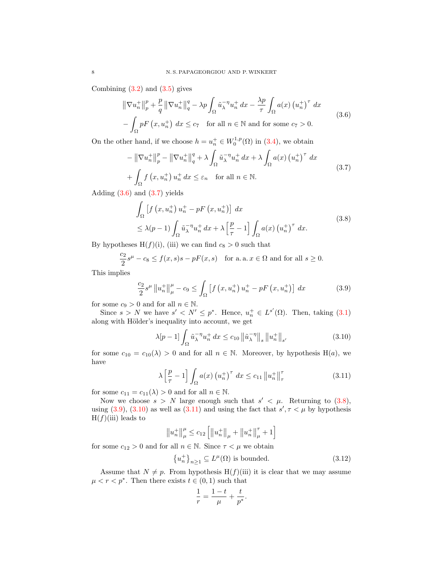Combining  $(3.2)$  and  $(3.5)$  gives

<span id="page-7-0"></span>
$$
\|\nabla u_n^+\|_p^p + \frac{p}{q} \|\nabla u_n^+\|_q^q - \lambda p \int_{\Omega} \tilde{u}_\lambda^{-\eta} u_n^+ dx - \frac{\lambda p}{\tau} \int_{\Omega} a(x) (u_n^+)^{\tau} dx
$$
  
-  $\int_{\Omega} pF(x, u_n^+) dx \le c_7$  for all  $n \in \mathbb{N}$  and for some  $c_7 > 0$ . (3.6)

On the other hand, if we choose  $h = u_n^+ \in W_0^{1,p}(\Omega)$  in [\(3.4\)](#page-6-3), we obtain

$$
-\left\|\nabla u_n^+\right\|_p^p - \left\|\nabla u_n^+\right\|_q^q + \lambda \int_{\Omega} \tilde{u}_\lambda^{-\eta} u_n^+ dx + \lambda \int_{\Omega} a(x) \left(u_n^+\right)^\tau dx
$$
  
+ 
$$
\int_{\Omega} f\left(x, u_n^+\right) u_n^+ dx \leq \varepsilon_n \quad \text{for all } n \in \mathbb{N}.
$$
 (3.7)

Adding  $(3.6)$  and  $(3.7)$  yields

<span id="page-7-2"></span><span id="page-7-1"></span>
$$
\int_{\Omega} \left[ f \left( x, u_n^+ \right) u_n^+ - p F \left( x, u_n^+ \right) \right] dx
$$
\n
$$
\leq \lambda (p-1) \int_{\Omega} \tilde{u}_\lambda^{-\eta} u_n^+ dx + \lambda \left[ \frac{p}{\tau} - 1 \right] \int_{\Omega} a(x) \left( u_n^+ \right)^{\tau} dx.
$$
\n(3.8)

By hypotheses  $H(f)(i)$ , (iii) we can find  $c_8 > 0$  such that

$$
\frac{c_2}{2}s^{\mu} - c_8 \le f(x, s)s - pF(x, s) \quad \text{for a. a. } x \in \Omega \text{ and for all } s \ge 0.
$$

This implies

$$
\frac{c_2}{2}s^{\mu} \|u_n^+\|_{\mu}^{\mu} - c_9 \le \int_{\Omega} \left[ f\left(x, u_n^+\right) u_n^+ - pF\left(x, u_n^+\right) \right] dx \tag{3.9}
$$

for some  $c_9 > 0$  and for all  $n \in \mathbb{N}$ .

Since  $s > N$  we have  $s' < N' \leq p^*$ . Hence,  $u_n^+ \in L^{s'}(\Omega)$ . Then, taking [\(3.1\)](#page-6-1) along with Hölder's inequality into account, we get

<span id="page-7-4"></span><span id="page-7-3"></span>
$$
\lambda [p-1] \int_{\Omega} \tilde{u}_{\lambda}^{-\eta} u_n^+ dx \le c_{10} \left\| \tilde{u}_{\lambda}^{-\eta} \right\|_s \left\| u_n^+ \right\|_{s'} \tag{3.10}
$$

for some  $c_{10} = c_{10}(\lambda) > 0$  and for all  $n \in \mathbb{N}$ . Moreover, by hypothesis H(a), we have

$$
\lambda \left[ \frac{p}{\tau} - 1 \right] \int_{\Omega} a(x) \left( u_n^+ \right)^{\tau} dx \le c_{11} \| u_n^+ \|_{\tau}^{\tau}
$$
\n(3.11)

for some  $c_{11} = c_{11}(\lambda) > 0$  and for all  $n \in \mathbb{N}$ .

Now we choose  $s > N$  large enough such that  $s' < \mu$ . Returning to [\(3.8\)](#page-7-2), using [\(3.9\)](#page-7-3), [\(3.10\)](#page-7-4) as well as [\(3.11\)](#page-7-5) and using the fact that  $s', \tau < \mu$  by hypothesis  $H(f)(iii)$  leads to

$$
||u_n^+||_\mu^{\mu} \leq c_{12} \left[ ||u_n^+||_\mu^+ + ||u_n^+||_\mu^{\tau} + 1 \right]
$$

for some  $c_{12} > 0$  and for all  $n \in \mathbb{N}$ . Since  $\tau < \mu$  we obtain

$$
\{u_n^+\}_{n\geq 1} \subseteq L^{\mu}(\Omega) \text{ is bounded.}
$$
\n(3.12)

<span id="page-7-6"></span><span id="page-7-5"></span>.

Assume that  $N \neq p$ . From hypothesis H(f)(iii) it is clear that we may assume  $\mu < r < p^*$ . Then there exists  $t \in (0, 1)$  such that

$$
\frac{1}{r} = \frac{1-t}{\mu} + \frac{t}{p^*}
$$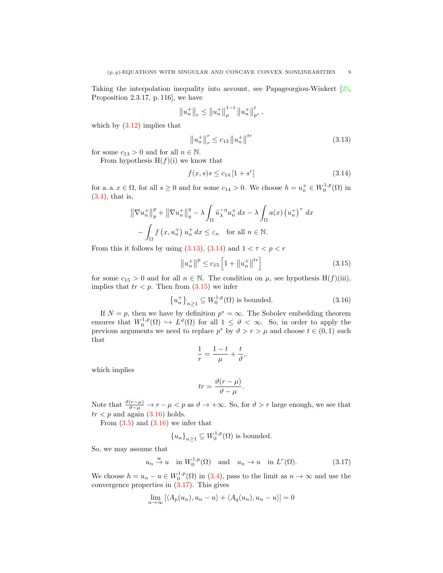Taking the interpolation inequality into account, see Papageorgiou-Winkert [\[25,](#page-21-11) Proposition 2.3.17, p. 116], we have

$$
||u_n^+||_r \le ||u_n^+||^{1-t}_\mu ||u_n^+||^t_{p^*},
$$

which by  $(3.12)$  implies that

<span id="page-8-0"></span>
$$
\|u_n^+\|_r^r \le c_{13} \|u_n^+\|^{tr} \tag{3.13}
$$

for some  $c_{13} > 0$  and for all  $n \in \mathbb{N}$ .

From hypothesis  $H(f)(i)$  we know that

<span id="page-8-1"></span>
$$
f(x,s)s \le c_{14} \left[ 1 + s^r \right] \tag{3.14}
$$

for a. a.  $x \in \Omega$ , for all  $s \geq 0$  and for some  $c_{14} > 0$ . We choose  $h = u_n^+ \in W_0^{1,p}(\Omega)$  in [\(3.4\)](#page-6-3), that is,

$$
\|\nabla u_n^+\|_p^p + \|\nabla u_n^+\|_q^q - \lambda \int_{\Omega} \tilde{u}_\lambda^{-\eta} u_n^+ dx - \lambda \int_{\Omega} a(x) (u_n^+)^{\tau} dx
$$
  

$$
- \int_{\Omega} f(x, u_n^+) u_n^+ dx \leq \varepsilon_n \quad \text{for all } n \in \mathbb{N}.
$$

From this it follows by using [\(3.13\)](#page-8-0), [\(3.14\)](#page-8-1) and  $1 < r < p < r$ 

<span id="page-8-2"></span>
$$
\|u_n^+\|^p \le c_{15} \left[1 + \|u_n^+\|^{tr}\right] \tag{3.15}
$$

for some  $c_{15} > 0$  and for all  $n \in \mathbb{N}$ . The condition on  $\mu$ , see hypothesis H(f)(iii), implies that  $tr < p$ . Then from  $(3.15)$  we infer

$$
\left\{u_n^+\right\}_{n\geq 1} \subseteq W_0^{1,p}(\Omega) \text{ is bounded.} \tag{3.16}
$$

If  $N = p$ , then we have by definition  $p^* = \infty$ . The Sobolev embedding theorem ensures that  $W_0^{1,p}(\Omega) \hookrightarrow L^{\vartheta}(\Omega)$  for all  $1 \leq \vartheta < \infty$ . So, in order to apply the previous arguments we need to replace  $p^*$  by  $\vartheta > r > \mu$  and choose  $t \in (0,1)$  such that

<span id="page-8-3"></span>
$$
\frac{1}{r} = \frac{1-t}{\mu} + \frac{t}{\vartheta},
$$

which implies

<span id="page-8-4"></span>
$$
tr = \frac{\vartheta(r - \mu)}{\vartheta - \mu}.
$$

Note that  $\frac{\vartheta(r-\mu)}{\vartheta-\mu} \to r-\mu < p$  as  $\vartheta \to +\infty$ . So, for  $\vartheta > r$  large enough, we see that  $tr < p$  and again  $(3.16)$  holds.

From  $(3.5)$  and  $(3.16)$  we infer that

$$
{u_n}_{n\geq 1} \subseteq W_0^{1,p}(\Omega)
$$
 is bounded.

So, we may assume that

$$
u_n \stackrel{w}{\rightarrow} u
$$
 in  $W_0^{1,p}(\Omega)$  and  $u_n \rightarrow u$  in  $L^r(\Omega)$ . (3.17)

We choose  $h = u_n - u \in W_0^{1,p}(\Omega)$  in [\(3.4\)](#page-6-3), pass to the limit as  $n \to \infty$  and use the convergence properties in [\(3.17\)](#page-8-4). This gives

$$
\lim_{n \to \infty} [\langle A_p(u_n), u_n - u \rangle + \langle A_q(u_n), u_n - u \rangle] = 0
$$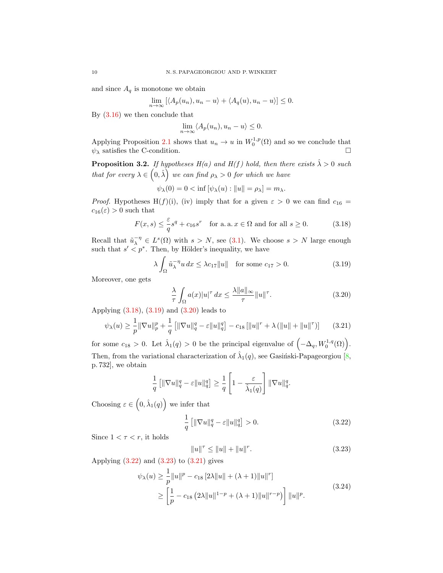and since  $A_q$  is monotone we obtain

$$
\lim_{n \to \infty} [\langle A_p(u_n), u_n - u \rangle + \langle A_q(u), u_n - u \rangle] \le 0.
$$

By [\(3.16\)](#page-8-3) we then conclude that

$$
\lim_{n \to \infty} \langle A_p(u_n), u_n - u \rangle \le 0.
$$

Applying Proposition [2.1](#page-3-1) shows that  $u_n \to u$  in  $W_0^{1,p}(\Omega)$  and so we conclude that  $\psi_{\lambda}$  satisfies the C-condition.

<span id="page-9-7"></span>**Proposition 3.2.** If hypotheses  $H(a)$  and  $H(f)$  hold, then there exists  $\hat{\lambda} > 0$  such that for every  $\lambda \in (0, \hat{\lambda})$  we can find  $\rho_{\lambda} > 0$  for which we have

$$
\psi_{\lambda}(0) = 0 < \inf \left[ \psi_{\lambda}(u) : \|u\| = \rho_{\lambda} \right] = m_{\lambda}.
$$

*Proof.* Hypotheses H(f)(i), (iv) imply that for a given  $\varepsilon > 0$  we can find  $c_{16} =$  $c_{16}(\varepsilon) > 0$  such that

$$
F(x,s) \le \frac{\varepsilon}{q}s^q + c_{16}s^r \quad \text{for a. a. } x \in \Omega \text{ and for all } s \ge 0. \tag{3.18}
$$

Recall that  $\tilde{u}_{\lambda}^{-\eta} \in L^{s}(\Omega)$  with  $s > N$ , see [\(3.1\)](#page-6-1). We choose  $s > N$  large enough such that  $s' < p^*$ . Then, by Hölder's inequality, we have

$$
\lambda \int_{\Omega} \tilde{u}_{\lambda}^{-\eta} u \, dx \le \lambda c_{17} \|u\| \quad \text{for some } c_{17} > 0. \tag{3.19}
$$

Moreover, one gets

<span id="page-9-5"></span><span id="page-9-2"></span><span id="page-9-1"></span><span id="page-9-0"></span>
$$
\frac{\lambda}{\tau} \int_{\Omega} a(x)|u|^{\tau} dx \le \frac{\lambda ||a||_{\infty}}{\tau} ||u||^{\tau}.
$$
\n(3.20)

Applying  $(3.18), (3.19)$  $(3.18), (3.19)$  $(3.18), (3.19)$  and  $(3.20)$  leads to

$$
\psi_{\lambda}(u) \ge \frac{1}{p} \|\nabla u\|_{p}^{p} + \frac{1}{q} \left[ \|\nabla u\|_{q}^{q} - \varepsilon \|u\|_{q}^{q} \right] - c_{18} \left[ \|u\|^{r} + \lambda \left( \|u\| + \|u\|^{r} \right) \right] \tag{3.21}
$$

for some  $c_{18} > 0$ . Let  $\hat{\lambda}_1(q) > 0$  be the principal eigenvalue of  $(-\Delta_q, W_0^{1,q}(\Omega))$ . Then, from the variational characterization of  $\hat{\lambda}_1(q)$ , see Gasinski-Papageorgiou [\[8,](#page-20-11) p. 732], we obtain

$$
\frac{1}{q}\left[\|\nabla u\|_q^q - \varepsilon \|u\|_q^q\right] \ge \frac{1}{q}\left[1 - \frac{\varepsilon}{\hat{\lambda}_1(q)}\right] \|\nabla u\|_q^q.
$$

Choosing  $\varepsilon \in (0, \hat{\lambda}_1(q))$  we infer that

$$
\frac{1}{q} \left[ \|\nabla u\|_q^q - \varepsilon \|u\|_q^q \right] > 0. \tag{3.22}
$$

Since  $1 < r < r$ , it holds

<span id="page-9-6"></span><span id="page-9-4"></span><span id="page-9-3"></span>
$$
||u||^{\tau} \le ||u|| + ||u||^{\tau}.
$$
\n(3.23)

Applying  $(3.22)$  and  $(3.23)$  to  $(3.21)$  gives

$$
\psi_{\lambda}(u) \ge \frac{1}{p} \|u\|^p - c_{18} \left[2\lambda \|u\| + (\lambda + 1)\|u\|^r\right]
$$
  
 
$$
\ge \left[\frac{1}{p} - c_{18} \left(2\lambda \|u\|^{1-p} + (\lambda + 1)\|u\|^{r-p}\right)\right] \|u\|^p.
$$
 (3.24)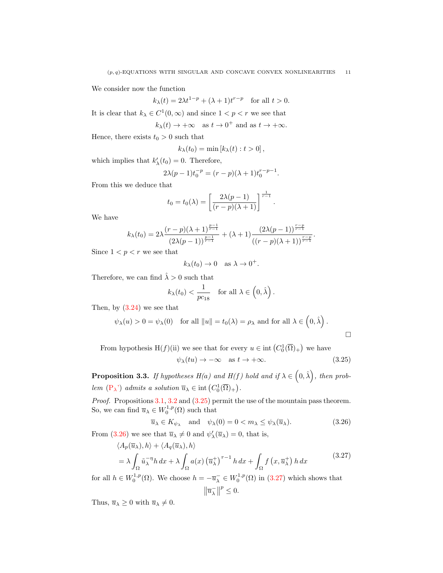We consider now the function

$$
k_{\lambda}(t) = 2\lambda t^{1-p} + (\lambda + 1)t^{r-p} \quad \text{for all } t > 0.
$$

It is clear that  $k_{\lambda} \in C^1(0, \infty)$  and since  $1 < p < r$  we see that

 $k_{\lambda}(t) \rightarrow +\infty \text{ as } t \rightarrow 0^{+} \text{ and as } t \rightarrow +\infty.$ 

Hence, there exists  $t_0 > 0$  such that

$$
k_{\lambda}(t_0) = \min [k_{\lambda}(t) : t > 0],
$$

which implies that  $k'_{\lambda}(t_0) = 0$ . Therefore,

$$
2\lambda(p-1)t_0^{-p} = (r-p)(\lambda+1)t_0^{r-p-1}.
$$

From this we deduce that

$$
t_0 = t_0(\lambda) = \left[ \frac{2\lambda(p-1)}{(r-p)(\lambda+1)} \right]^{\frac{1}{r-1}}.
$$

We have

$$
k_{\lambda}(t_0) = 2\lambda \frac{(r-p)(\lambda+1)^{\frac{p-1}{r-1}}}{(2\lambda(p-1))^{\frac{p-1}{r-1}}} + (\lambda+1) \frac{(2\lambda(p-1))^{\frac{r-p}{r-1}}}{((r-p)(\lambda+1))^{\frac{r-p}{r-1}}}.
$$

Since  $1 < p < r$  we see that

$$
k_{\lambda}(t_0) \to 0
$$
 as  $\lambda \to 0^+$ .

Therefore, we can find  $\hat{\lambda} > 0$  such that

$$
k_{\lambda}(t_0) < \frac{1}{pc_{18}}
$$
 for all  $\lambda \in (0, \hat{\lambda})$ .

Then, by  $(3.24)$  we see that

$$
\psi_{\lambda}(u) > 0 = \psi_{\lambda}(0)
$$
 for all  $||u|| = t_0(\lambda) = \rho_{\lambda}$  and for all  $\lambda \in (0, \hat{\lambda})$ .

From hypothesis H(f)(ii) we see that for every  $u \in \text{int}(C_0^1(\overline{\Omega})_+)$  we have

<span id="page-10-2"></span><span id="page-10-1"></span><span id="page-10-0"></span>
$$
\psi_{\lambda}(tu) \to -\infty \quad \text{as } t \to +\infty. \tag{3.25}
$$

<span id="page-10-3"></span>**Proposition 3.3.** If hypotheses  $H(a)$  and  $H(f)$  hold and if  $\lambda \in (0, \hat{\lambda})$ , then problem  $(P_{\lambda})$  $(P_{\lambda})$  admits a solution  $\overline{u}_{\lambda} \in \text{int}(C_0^1(\overline{\Omega})_+)$ .

Proof. Propositions [3.1,](#page-6-6) [3.2](#page-9-7) and  $(3.25)$  permit the use of the mountain pass theorem. So, we can find  $\overline{u}_{\lambda} \in W_0^{1,p}(\Omega)$  such that

$$
\overline{u}_{\lambda} \in K_{\psi_{\lambda}}
$$
 and  $\psi_{\lambda}(0) = 0 < m_{\lambda} \leq \psi_{\lambda}(\overline{u}_{\lambda}).$ \n
$$
(3.26)
$$

From [\(3.26\)](#page-10-1) we see that  $\overline{u}_{\lambda} \neq 0$  and  $\psi'_{\lambda}(\overline{u}_{\lambda}) = 0$ , that is,

$$
\langle A_p(\overline{u}_\lambda), h \rangle + \langle A_q(\overline{u}_\lambda), h \rangle
$$
  
=  $\lambda \int_{\Omega} \tilde{u}_\lambda^{-\eta} h \, dx + \lambda \int_{\Omega} a(x) (\overline{u}_\lambda^+)^{\tau-1} h \, dx + \int_{\Omega} f(x, \overline{u}_\lambda^+) h \, dx$  (3.27)

for all  $h \in W_0^{1,p}(\Omega)$ . We choose  $h = -\overline{u}_\lambda^- \in W_0^{1,p}(\Omega)$  in [\(3.27\)](#page-10-2) which shows that  $\left\Vert \overline{u}_{\lambda}^{-}\right\Vert$  $p^p \leq 0.$ 

Thus,  $\overline{u}_{\lambda} \geq 0$  with  $\overline{u}_{\lambda} \neq 0$ .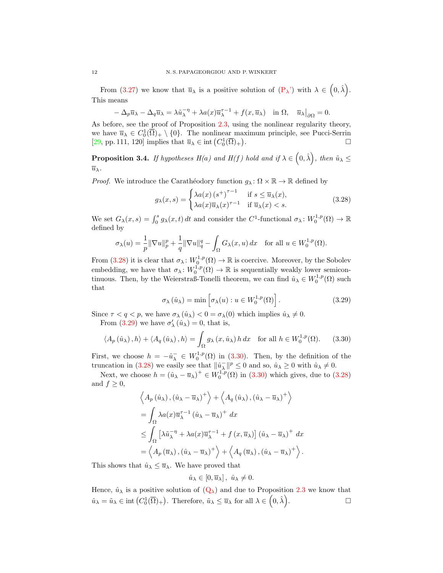From [\(3.27\)](#page-10-2) we know that  $\overline{u}_{\lambda}$  is a positive solution of  $(P_{\lambda})$  $(P_{\lambda})$  with  $\lambda \in (0, \hat{\lambda})$ . This means

$$
-\Delta_p \overline{u}_\lambda - \Delta_q \overline{u}_\lambda = \lambda \tilde{u}_\lambda^{-\eta} + \lambda a(x) \overline{u}_\lambda^{\tau-1} + f(x, \overline{u}_\lambda) \quad \text{in } \Omega, \quad \overline{u}_\lambda|_{\partial \Omega} = 0.
$$

As before, see the proof of Proposition [2.3,](#page-4-4) using the nonlinear regularity theory, we have  $\overline{u}_{\lambda} \in C_0^1(\overline{\Omega})_+ \setminus \{0\}$ . The nonlinear maximum principle, see Pucci-Serrin [\[29,](#page-21-9) pp. 111, 120] implies that  $\overline{u}_{\lambda} \in \text{int} (C_0^1(\overline{\Omega})_+)$ . — Первый процесс в серверності процесс в серверності процесс в серверності процесс в серверності процесс в с<br>Процесс в серверності процесс в серверності процесс в серверності процесс в серверності процесс в серверності

<span id="page-11-3"></span>**Proposition 3.4.** If hypotheses  $H(a)$  and  $H(f)$  hold and if  $\lambda \in (0, \hat{\lambda})$ , then  $\tilde{u}_{\lambda} \leq$  $\overline{u}_{\lambda}$ .

*Proof.* We introduce the Carathéodory function  $g_{\lambda} : \Omega \times \mathbb{R} \to \mathbb{R}$  defined by

<span id="page-11-0"></span>
$$
g_{\lambda}(x,s) = \begin{cases} \lambda a(x) \left(s^{+}\right)^{\tau-1} & \text{if } s \le \overline{u}_{\lambda}(x), \\ \lambda a(x) \overline{u}_{\lambda}(x)^{\tau-1} & \text{if } \overline{u}_{\lambda}(x) < s. \end{cases}
$$
(3.28)

We set  $G_{\lambda}(x, s) = \int_0^s g_{\lambda}(x, t) dt$  and consider the  $C^1$ -functional  $\sigma_{\lambda}: W_0^{1, p}(\Omega) \to \mathbb{R}$ defined by

$$
\sigma_{\lambda}(u) = \frac{1}{p} \|\nabla u\|_{p}^{p} + \frac{1}{q} \|\nabla u\|_{q}^{q} - \int_{\Omega} G_{\lambda}(x, u) dx \quad \text{for all } u \in W_{0}^{1, p}(\Omega).
$$

From [\(3.28\)](#page-11-0) it is clear that  $\sigma_{\lambda}: W_0^{1,p}(\Omega) \to \mathbb{R}$  is coercive. Moreover, by the Sobolev embedding, we have that  $\sigma_{\lambda}: W_0^{1,p}(\Omega) \to \mathbb{R}$  is sequentially weakly lower semicontinuous. Then, by the Weierstraß-Tonelli theorem, we can find  $\hat{u}_{\lambda} \in W_0^{1,p}(\Omega)$  such that

<span id="page-11-2"></span><span id="page-11-1"></span>
$$
\sigma_{\lambda}(\hat{u}_{\lambda}) = \min \left[ \sigma_{\lambda}(u) : u \in W_0^{1,p}(\Omega) \right]. \tag{3.29}
$$

Since  $\tau < q < p$ , we have  $\sigma_{\lambda}(\hat{u}_{\lambda}) < 0 = \sigma_{\lambda}(0)$  which implies  $\hat{u}_{\lambda} \neq 0$ .

From [\(3.29\)](#page-11-1) we have  $\sigma'_{\lambda}(\hat{u}_{\lambda}) = 0$ , that is,

$$
\langle A_p(\hat{u}_\lambda), h \rangle + \langle A_q(\hat{u}_\lambda), h \rangle = \int_{\Omega} g_\lambda(x, \hat{u}_\lambda) h \, dx \quad \text{for all } h \in W_0^{1, p}(\Omega). \tag{3.30}
$$

First, we choose  $h = -\hat{u}_{\lambda}^- \in W_0^{1,p}(\Omega)$  in [\(3.30\)](#page-11-2). Then, by the definition of the truncation in [\(3.28\)](#page-11-0) we easily see that  $\|\hat{u}_{\lambda}^{-}\|^{p} \leq 0$  and so,  $\hat{u}_{\lambda} \geq 0$  with  $\hat{u}_{\lambda} \neq 0$ .

Next, we choose  $h = (\hat{u}_{\lambda} - \overline{u}_{\lambda})^+ \in W_0^{1,p}(\Omega)$  in [\(3.30\)](#page-11-2) which gives, due to [\(3.28\)](#page-11-0) and  $f \geq 0$ ,

$$
\left\langle A_p\left(\hat{u}_\lambda\right), \left(\hat{u}_\lambda - \overline{u}_\lambda\right)^+ \right\rangle + \left\langle A_q\left(\hat{u}_\lambda\right), \left(\hat{u}_\lambda - \overline{u}_\lambda\right)^+ \right\rangle
$$
  
\n
$$
= \int_{\Omega} \lambda a(x) \overline{u}_\lambda^{\tau - 1} \left(\hat{u}_\lambda - \overline{u}_\lambda\right)^+ dx
$$
  
\n
$$
\leq \int_{\Omega} \left[ \lambda \tilde{u}_\lambda^{-\eta} + \lambda a(x) \overline{u}_\lambda^{\tau - 1} + f(x, \overline{u}_\lambda) \right] \left(\hat{u}_\lambda - \overline{u}_\lambda\right)^+ dx
$$
  
\n
$$
= \left\langle A_p\left(\overline{u}_\lambda\right), \left(\hat{u}_\lambda - \overline{u}_\lambda\right)^+ \right\rangle + \left\langle A_q\left(\overline{u}_\lambda\right), \left(\hat{u}_\lambda - \overline{u}_\lambda\right)^+ \right\rangle.
$$

This shows that  $\hat{u}_{\lambda} \leq \overline{u}_{\lambda}$ . We have proved that

$$
\hat{u}_{\lambda} \in [0, \overline{u}_{\lambda}], \ \hat{u}_{\lambda} \neq 0.
$$

Hence,  $\hat{u}_{\lambda}$  is a positive solution of  $(Q_{\lambda})$  $(Q_{\lambda})$  and due to Proposition [2.3](#page-4-4) we know that  $\hat{u}_{\lambda} = \tilde{u}_{\lambda} \in \text{int}\left(C_0^1(\overline{\Omega})_+\right)$ . Therefore,  $\tilde{u}_{\lambda} \leq \overline{u}_{\lambda}$  for all  $\lambda \in (0, \hat{\lambda})$ .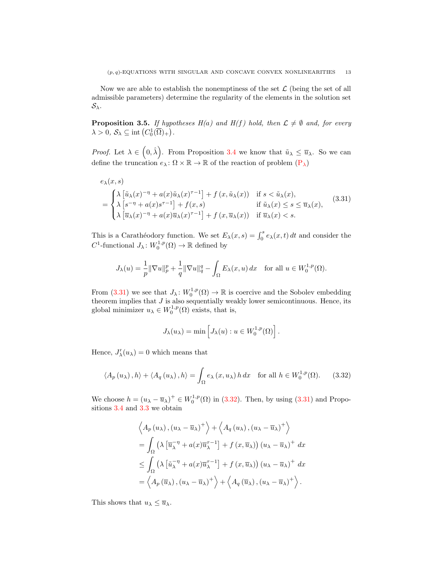Now we are able to establish the nonemptiness of the set  $\mathcal L$  (being the set of all admissible parameters) determine the regularity of the elements in the solution set  $\mathcal{S}_{\lambda}$ .

<span id="page-12-2"></span>**Proposition 3.5.** If hypotheses  $H(a)$  and  $H(f)$  hold, then  $\mathcal{L} \neq \emptyset$  and, for every  $\lambda > 0, \, S_{\lambda} \subseteq \text{int}\left(C_0^1(\overline{\Omega})_+\right).$ 

*Proof.* Let  $\lambda \in (0, \hat{\lambda})$ . From Proposition [3.4](#page-11-3) we know that  $\tilde{u}_{\lambda} \leq \overline{u}_{\lambda}$ . So we can define the truncation  $e_\lambda : \Omega \times \mathbb{R} \to \mathbb{R}$  of the reaction of problem  $(P_\lambda)$  $(P_\lambda)$ 

$$
e_{\lambda}(x, s)
$$
\n
$$
= \begin{cases} \n\lambda \left[ \tilde{u}_{\lambda}(x)^{-\eta} + a(x)\tilde{u}_{\lambda}(x)^{\tau-1} \right] + f(x, \tilde{u}_{\lambda}(x)) & \text{if } s < \tilde{u}_{\lambda}(x), \\
\lambda \left[ s^{-\eta} + a(x)s^{\tau-1} \right] + f(x, s) & \text{if } \tilde{u}_{\lambda}(x) \leq s \leq \overline{u}_{\lambda}(x), \\
\lambda \left[ \overline{u}_{\lambda}(x)^{-\eta} + a(x)\overline{u}_{\lambda}(x)^{\tau-1} \right] + f(x, \overline{u}_{\lambda}(x)) & \text{if } \overline{u}_{\lambda}(x) < s.\n\end{cases} \tag{3.31}
$$

This is a Carathéodory function. We set  $E_{\lambda}(x, s) = \int_0^s e_{\lambda}(x, t) dt$  and consider the  $C^1$ -functional  $J_\lambda\colon W_0^{1,p}(\Omega) \to \mathbb{R}$  defined by

$$
J_{\lambda}(u) = \frac{1}{p} \|\nabla u\|_{p}^{p} + \frac{1}{q} \|\nabla u\|_{q}^{q} - \int_{\Omega} E_{\lambda}(x, u) dx \quad \text{for all } u \in W_{0}^{1, p}(\Omega).
$$

From [\(3.31\)](#page-12-0) we see that  $J_{\lambda}: W_0^{1,p}(\Omega) \to \mathbb{R}$  is coercive and the Sobolev embedding theorem implies that  $J$  is also sequentially weakly lower semicontinuous. Hence, its global minimizer  $u_{\lambda} \in W_0^{1,p}(\Omega)$  exists, that is,

<span id="page-12-1"></span><span id="page-12-0"></span>
$$
J_{\lambda}(u_{\lambda}) = \min \left[ J_{\lambda}(u) : u \in W_0^{1,p}(\Omega) \right].
$$

Hence,  $J'_{\lambda}(u_{\lambda})=0$  which means that

$$
\langle A_p(u_\lambda), h \rangle + \langle A_q(u_\lambda), h \rangle = \int_{\Omega} e_\lambda(x, u_\lambda) h \, dx \quad \text{for all } h \in W_0^{1, p}(\Omega). \tag{3.32}
$$

We choose  $h = (u_{\lambda} - \overline{u}_{\lambda})^+ \in W_0^{1,p}(\Omega)$  in [\(3.32\)](#page-12-1). Then, by using [\(3.31\)](#page-12-0) and Propositions [3.4](#page-11-3) and [3.3](#page-10-3) we obtain

$$
\left\langle A_p(u_\lambda), (u_\lambda - \overline{u}_\lambda)^+ \right\rangle + \left\langle A_q(u_\lambda), (u_\lambda - \overline{u}_\lambda)^+ \right\rangle
$$
  
=  $\int_{\Omega} \left( \lambda \left[ \overline{u}_\lambda^{-\eta} + a(x) \overline{u}_\lambda^{-1} \right] + f(x, \overline{u}_\lambda) \right) (u_\lambda - \overline{u}_\lambda)^+ dx$   

$$
\leq \int_{\Omega} \left( \lambda \left[ \overline{u}_\lambda^{-\eta} + a(x) \overline{u}_\lambda^{-1} \right] + f(x, \overline{u}_\lambda) \right) (u_\lambda - \overline{u}_\lambda)^+ dx
$$
  
=  $\left\langle A_p(\overline{u}_\lambda), (u_\lambda - \overline{u}_\lambda)^+ \right\rangle + \left\langle A_q(\overline{u}_\lambda), (u_\lambda - \overline{u}_\lambda)^+ \right\rangle.$ 

This shows that  $u_{\lambda} \leq \overline{u}_{\lambda}$ .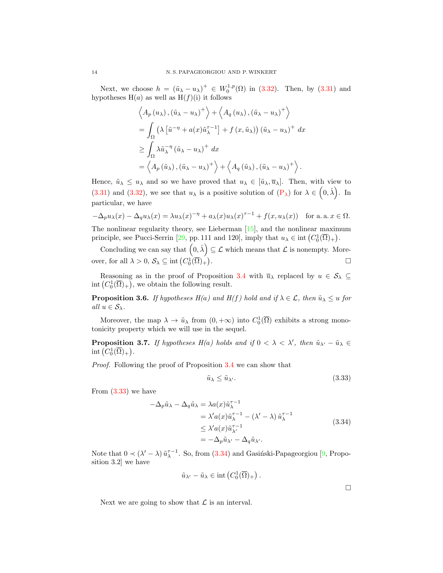Next, we choose  $h = (\tilde{u}_{\lambda} - u_{\lambda})^+ \in W_0^{1,p}(\Omega)$  in [\(3.32\)](#page-12-1). Then, by [\(3.31\)](#page-12-0) and hypotheses  $H(a)$  as well as  $H(f)(i)$  it follows

$$
\left\langle A_p(u_\lambda), (\tilde{u}_\lambda - u_\lambda)^+ \right\rangle + \left\langle A_q(u_\lambda), (\tilde{u}_\lambda - u_\lambda)^+ \right\rangle
$$
  
=  $\int_{\Omega} \left( \lambda \left[ \tilde{u}^{-\eta} + a(x) \tilde{u}_\lambda^{\tau-1} \right] + f(x, \tilde{u}_\lambda) \right) (\tilde{u}_\lambda - u_\lambda)^+ dx$   
 $\geq \int_{\Omega} \lambda \tilde{u}_\lambda^{-\eta} (\tilde{u}_\lambda - u_\lambda)^+ dx$   
=  $\left\langle A_p(\tilde{u}_\lambda), (\tilde{u}_\lambda - u_\lambda)^+ \right\rangle + \left\langle A_q(\tilde{u}_\lambda), (\tilde{u}_\lambda - u_\lambda)^+ \right\rangle.$ 

Hence,  $\tilde{u}_{\lambda} \leq u_{\lambda}$  and so we have proved that  $u_{\lambda} \in [\tilde{u}_{\lambda}, \overline{u}_{\lambda}]$ . Then, with view to [\(3.31\)](#page-12-0) and [\(3.32\)](#page-12-1), we see that  $u_{\lambda}$  is a positive solution of  $(P_{\lambda})$  $(P_{\lambda})$  for  $\lambda \in (0, \hat{\lambda})$ . In particular, we have

$$
-\Delta_p u_\lambda(x) - \Delta_q u_\lambda(x) = \lambda u_\lambda(x)^{-\eta} + a_\lambda(x)u_\lambda(x)^{\tau-1} + f(x, u_\lambda(x)) \quad \text{for a. a. } x \in \Omega.
$$

The nonlinear regularity theory, see Lieberman [\[15\]](#page-20-8), and the nonlinear maximum principle, see Pucci-Serrin [\[29,](#page-21-9) pp. 111 and 120], imply that  $u_{\lambda} \in \text{int}(C_0^1(\overline{\Omega})_+)$ .

Concluding we can say that  $(0, \hat{\lambda}) \subseteq \mathcal{L}$  which means that  $\mathcal{L}$  is nonempty. Moreover, for all  $\lambda > 0$ ,  $S_{\lambda} \subseteq \text{int}(C_0^1(\overline{\Omega})_+)$ .

Reasoning as in the proof of Proposition [3.4](#page-11-3) with  $\overline{u}_{\lambda}$  replaced by  $u \in \mathcal{S}_{\lambda} \subseteq$ int  $(C_0^1(\overline{\Omega})_+)$ , we obtain the following result.

**Proposition 3.6.** If hypotheses  $H(a)$  and  $H(f)$  hold and if  $\lambda \in \mathcal{L}$ , then  $\tilde{u}_{\lambda} \leq u$  for all  $u \in \mathcal{S}_{\lambda}$ .

Moreover, the map  $\lambda \to \tilde{u}_{\lambda}$  from  $(0, +\infty)$  into  $C_0^1(\overline{\Omega})$  exhibits a strong monotonicity property which we will use in the sequel.

<span id="page-13-2"></span>**Proposition 3.7.** If hypotheses  $H(a)$  holds and if  $0 < \lambda < \lambda'$ , then  $\tilde{u}_{\lambda'} - \tilde{u}_{\lambda} \in$ int  $(C_0^1(\overline{\Omega})_+)$ .

Proof. Following the proof of Proposition [3.4](#page-11-3) we can show that

$$
\tilde{u}_{\lambda} \le \tilde{u}_{\lambda'}.\tag{3.33}
$$

From [\(3.33\)](#page-13-0) we have

$$
-\Delta_p \tilde{u}_{\lambda} - \Delta_q \tilde{u}_{\lambda} = \lambda a(x) \tilde{u}_{\lambda}^{\tau - 1}
$$
  
=  $\lambda' a(x) \tilde{u}_{\lambda}^{\tau - 1} - (\lambda' - \lambda) \tilde{u}_{\lambda}^{\tau - 1}$   
 $\leq \lambda' a(x) \tilde{u}_{\lambda'}^{\tau - 1}$   
=  $-\Delta_p \tilde{u}_{\lambda'} - \Delta_q \tilde{u}_{\lambda'}$ . (3.34)

Note that  $0 \prec (\lambda' - \lambda) \tilde{u}_{\lambda}^{\tau-1}$ . So, from [\(3.34\)](#page-13-1) and Gasiński-Papageorgiou [\[9,](#page-20-12) Proposition 3.2] we have

$$
\tilde{u}_{\lambda'} - \tilde{u}_{\lambda} \in \text{int}\left(C_0^1(\overline{\Omega})_+\right).
$$

<span id="page-13-1"></span><span id="page-13-0"></span> $\Box$ 

Next we are going to show that  $\mathcal L$  is an interval.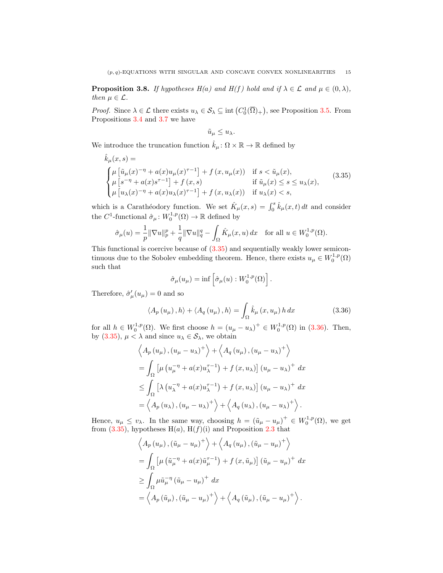<span id="page-14-2"></span>**Proposition 3.8.** If hypotheses  $H(a)$  and  $H(f)$  hold and if  $\lambda \in \mathcal{L}$  and  $\mu \in (0, \lambda)$ , then  $\mu \in \mathcal{L}$ .

*Proof.* Since  $\lambda \in \mathcal{L}$  there exists  $u_{\lambda} \in \mathcal{S}_{\lambda} \subseteq \text{int}(C_0^1(\overline{\Omega})_+)$ , see Proposition [3.5.](#page-12-2) From Propositions [3.4](#page-11-3) and [3.7](#page-13-2) we have

<span id="page-14-0"></span>
$$
\tilde{u}_{\mu} \leq u_{\lambda}.
$$

We introduce the truncation function  $\hat{k}_{\mu} : \Omega \times \mathbb{R} \to \mathbb{R}$  defined by

$$
\hat{k}_{\mu}(x,s) = \n\begin{cases}\n\mu \left[ \tilde{u}_{\mu}(x)^{-\eta} + a(x)u_{\mu}(x)^{\tau-1} \right] + f(x, u_{\mu}(x)) & \text{if } s < \tilde{u}_{\mu}(x), \\
\mu \left[ s^{-\eta} + a(x)s^{\tau-1} \right] + f(x,s) & \text{if } \tilde{u}_{\mu}(x) \leq s \leq u_{\lambda}(x), \\
\mu \left[ u_{\lambda}(x)^{-\eta} + a(x)u_{\lambda}(x)^{\tau-1} \right] + f(x, u_{\lambda}(x)) & \text{if } u_{\lambda}(x) < s,\n\end{cases} \tag{3.35}
$$

which is a Carathéodory function. We set  $\hat{K}_{\mu}(x, s) = \int_0^s \hat{k}_{\mu}(x, t) dt$  and consider the  $C^1$ -functional  $\hat{\sigma}_{\mu} : W_0^{1,p}(\Omega) \to \mathbb{R}$  defined by

$$
\hat{\sigma}_{\mu}(u) = \frac{1}{p} \|\nabla u\|_{p}^{p} + \frac{1}{q} \|\nabla u\|_{q}^{q} - \int_{\Omega} \hat{K}_{\mu}(x, u) dx \text{ for all } u \in W_{0}^{1, p}(\Omega).
$$

This functional is coercive because of [\(3.35\)](#page-14-0) and sequentially weakly lower semicontinuous due to the Sobolev embedding theorem. Hence, there exists  $u_{\mu} \in W_0^{1,p}(\Omega)$ such that

<span id="page-14-1"></span>
$$
\hat{\sigma}_{\mu}(u_{\mu}) = \inf \left[ \hat{\sigma}_{\mu}(u) : W_0^{1,p}(\Omega) \right].
$$

Therefore,  $\hat{\sigma}'_{\mu}(u_{\mu}) = 0$  and so

$$
\langle A_{p}(u_{\mu}), h \rangle + \langle A_{q}(u_{\mu}), h \rangle = \int_{\Omega} \hat{k}_{\mu}(x, u_{\mu}) h dx \qquad (3.36)
$$

for all  $h \in W_0^{1,p}(\Omega)$ . We first choose  $h = (u_\mu - u_\lambda)^+ \in W_0^{1,p}(\Omega)$  in [\(3.36\)](#page-14-1). Then, by  $(3.35)$ ,  $\mu < \lambda$  and since  $u_{\lambda} \in \mathcal{S}_{\lambda}$ , we obtain

$$
\left\langle A_p(u_\mu), (u_\mu - u_\lambda)^+ \right\rangle + \left\langle A_q(u_\mu), (u_\mu - u_\lambda)^+ \right\rangle
$$
  
=  $\int_{\Omega} \left[ \mu (u_\mu^{-\eta} + a(x)u_\lambda^{-1}) + f(x, u_\lambda) \right] (u_\mu - u_\lambda)^+ dx$   
 $\leq \int_{\Omega} \left[ \lambda (u_\lambda^{-\eta} + a(x)u_\lambda^{-1}) + f(x, u_\lambda) \right] (u_\mu - u_\lambda)^+ dx$   
=  $\left\langle A_p(u_\lambda), (u_\mu - u_\lambda)^+ \right\rangle + \left\langle A_q(u_\lambda), (u_\mu - u_\lambda)^+ \right\rangle.$ 

Hence,  $u_{\mu} \le v_{\lambda}$ . In the same way, choosing  $h = (\tilde{u}_{\mu} - u_{\mu})^+ \in W_0^{1,p}(\Omega)$ , we get from  $(3.35)$ , hypotheses H $(a)$ , H $(f)(i)$  and Proposition [2.3](#page-4-4) that

$$
\left\langle A_p(u_\mu), (\tilde{u}_\mu - u_\mu)^+ \right\rangle + \left\langle A_q(u_\mu), (\tilde{u}_\mu - u_\mu)^+ \right\rangle
$$
  
=  $\int_{\Omega} \left[ \mu \left( \tilde{u}_\mu^{-\eta} + a(x) \tilde{u}_\mu^{-1} \right) + f(x, \tilde{u}_\mu) \right] (\tilde{u}_\mu - u_\mu)^+ dx$   
 $\geq \int_{\Omega} \mu \tilde{u}_\mu^{-\eta} (\tilde{u}_\mu - u_\mu)^+ dx$   
=  $\left\langle A_p(\tilde{u}_\mu), (\tilde{u}_\mu - u_\mu)^+ \right\rangle + \left\langle A_q(\tilde{u}_\mu), (\tilde{u}_\mu - u_\mu)^+ \right\rangle.$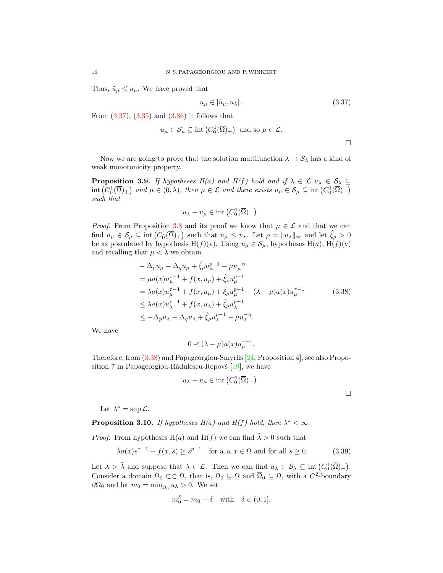Thus,  $\tilde{u}_{\mu} \leq u_{\mu}$ . We have proved that

$$
u_{\mu} \in \left[\tilde{u}_{\mu}, u_{\lambda}\right].\tag{3.37}
$$

From  $(3.37)$ ,  $(3.35)$  and  $(3.36)$  it follows that

$$
u_{\mu} \in \mathcal{S}_{\mu} \subseteq \text{int}\left(C_0^1(\overline{\Omega})_+\right) \text{ and so } \mu \in \mathcal{L}.
$$

<span id="page-15-0"></span> $\Box$ 

<span id="page-15-2"></span><span id="page-15-1"></span> $\Box$ 

Now we are going to prove that the solution multifunction  $\lambda \to S_\lambda$  has a kind of weak monotonicity property.

<span id="page-15-3"></span>**Proposition 3.9.** If hypotheses  $H(a)$  and  $H(f)$  hold and if  $\lambda \in \mathcal{L}, u_{\lambda} \in \mathcal{S}_{\lambda} \subseteq$  $\text{int}\left(C_0^1(\overline{\Omega})_+\right)$  and  $\mu \in (0, \lambda)$ , then  $\mu \in \mathcal{L}$  and there exists  $u_{\mu} \in \mathcal{S}_{\mu} \subseteq \text{int}\left(C_0^1(\overline{\Omega})_+\right)$ such that

$$
u_{\lambda} - u_{\mu} \in \text{int}\left(C_0^1(\overline{\Omega})_+\right).
$$

*Proof.* From Proposition [3.8](#page-14-2) and its proof we know that  $\mu \in \mathcal{L}$  and that we can find  $u_{\mu} \in \mathcal{S}_{\mu} \subseteq \text{int}(C_0^1(\overline{\Omega})_+)$  such that  $u_{\mu} \le v_{\lambda}$ . Let  $\rho = ||u_{\lambda}||_{\infty}$  and let  $\hat{\xi}_{\rho} > 0$ be as postulated by hypothesis H(f)(v). Using  $u_{\mu} \in S_{\mu}$ , hypotheses H(a), H(f)(v) and recalling that  $\mu < \lambda$  we obtain

$$
-\Delta_{p}u_{\mu} - \Delta_{q}u_{\mu} + \hat{\xi}_{\rho}u_{\mu}^{p-1} - \mu u_{\mu}^{-\eta}
$$
  
\n
$$
= \mu a(x)u_{\mu}^{\tau-1} + f(x, u_{\mu}) + \hat{\xi}_{\rho}u_{\mu}^{p-1}
$$
  
\n
$$
= \lambda a(x)u_{\mu}^{\tau-1} + f(x, u_{\mu}) + \hat{\xi}_{\rho}u_{\mu}^{p-1} - (\lambda - \mu)a(x)u_{\mu}^{\tau-1}
$$
  
\n
$$
\leq \lambda a(x)u_{\lambda}^{\tau-1} + f(x, u_{\lambda}) + \hat{\xi}_{\rho}u_{\lambda}^{p-1}
$$
  
\n
$$
\leq -\Delta_{p}u_{\lambda} - \Delta_{q}u_{\lambda} + \hat{\xi}_{\rho}u_{\lambda}^{p-1} - \mu u_{\lambda}^{-\eta}.
$$
\n(3.38)

We have

$$
0 \prec (\lambda - \mu)a(x)u_{\mu}^{\tau - 1}.
$$

Therefore, from [\(3.38\)](#page-15-1) and Papageorgiou-Smyrlis [\[24,](#page-21-12) Proposition 4], see also Proposition 7 in Papageorgiou-Rădulescu-Repovš  $[19]$ , we have

$$
u_{\lambda} - u_{\mu} \in \text{int}\left(C_0^1(\overline{\Omega})_+\right).
$$

Let  $\lambda^* = \sup \mathcal{L}$ .

**Proposition 3.10.** If hypotheses  $H(a)$  and  $H(f)$  hold, then  $\lambda^* < \infty$ .

*Proof.* From hypotheses H(a) and H(f) we can find  $\tilde{\lambda} > 0$  such that

$$
\tilde{\lambda}a(x)s^{\tau-1} + f(x,s) \ge s^{p-1} \quad \text{for a. a. } x \in \Omega \text{ and for all } s \ge 0. \tag{3.39}
$$

Let  $\lambda > \tilde{\lambda}$  and suppose that  $\lambda \in \mathcal{L}$ . Then we can find  $u_{\lambda} \in \mathcal{S}_{\lambda} \subseteq \text{int}(C_0^1(\overline{\Omega})_+).$ Consider a domain  $\Omega_0 \subset\subset \Omega$ , that is,  $\Omega_0 \subseteq \Omega$  and  $\overline{\Omega}_0 \subseteq \Omega$ , with a  $C^2$ -boundary  $\partial\Omega_0$  and let  $m_0 = \min_{\overline{\Omega}_0} u_\lambda > 0$ . We set

$$
m_0^{\delta} = m_0 + \delta \quad \text{with} \quad \delta \in (0, 1].
$$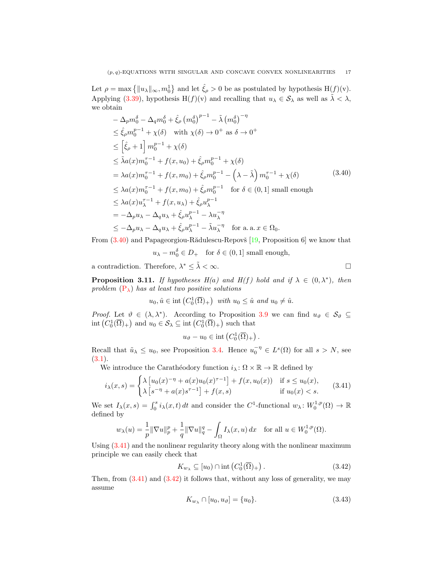Let  $\rho = \max\left\{ ||u_{\lambda}||_{\infty}, m_0^1 \right\}$  and let  $\hat{\xi}_{\rho} > 0$  be as postulated by hypothesis  $H(f)(v)$ . Applying [\(3.39\)](#page-15-2), hypothesis H(f)(v) and recalling that  $u_{\lambda} \in S_{\lambda}$  as well as  $\tilde{\lambda} < \lambda$ , we obtain

$$
-\Delta_p m_0^{\delta} - \Delta_q m_0^{\delta} + \hat{\xi}_{\rho} (m_0^{\delta})^{p-1} - \tilde{\lambda} (m_0^{\delta})^{-\eta}
$$
  
\n
$$
\leq \hat{\xi}_{\rho} m_0^{p-1} + \chi(\delta) \quad \text{with } \chi(\delta) \to 0^+ \text{ as } \delta \to 0^+
$$
  
\n
$$
\leq [\hat{\xi}_{\rho} + 1] m_0^{p-1} + \chi(\delta)
$$
  
\n
$$
\leq \tilde{\lambda} a(x) m_0^{\tau-1} + f(x, u_0) + \hat{\xi}_{\rho} m_0^{p-1} + \chi(\delta)
$$
  
\n
$$
= \lambda a(x) m_0^{\tau-1} + f(x, m_0) + \hat{\xi}_{\rho} m_0^{p-1} - (\lambda - \tilde{\lambda}) m_0^{\tau-1} + \chi(\delta)
$$
  
\n
$$
\leq \lambda a(x) m_0^{\tau-1} + f(x, m_0) + \hat{\xi}_{\rho} m_0^{p-1} \quad \text{for } \delta \in (0, 1] \text{ small enough}
$$
  
\n
$$
\leq \lambda a(x) u_{\lambda}^{\tau-1} + f(x, u_{\lambda}) + \hat{\xi}_{\rho} u_{\lambda}^{p-1}
$$
  
\n
$$
= -\Delta_p u_{\lambda} - \Delta_q u_{\lambda} + \hat{\xi}_{\rho} u_{\lambda}^{p-1} - \lambda u_{\lambda}^{-\eta} \quad \text{for a. a. } x \in \Omega_0.
$$
  
\n(3.40)

From  $(3.40)$  and Papageorgiou-Rădulescu-Repovš [\[19,](#page-21-13) Proposition 6] we know that

<span id="page-16-0"></span> $u_{\lambda} - m_0^{\delta} \in D_+$  for  $\delta \in (0, 1]$  small enough,

a contradiction. Therefore,  $\lambda^* \leq \tilde{\lambda} < \infty$ .

**Proposition 3.11.** If hypotheses  $H(a)$  and  $H(f)$  hold and if  $\lambda \in (0, \lambda^*)$ , then problem  $(P_{\lambda})$  $(P_{\lambda})$  has at least two positive solutions

$$
u_0, \hat{u} \in \text{int}\left(C_0^1(\overline{\Omega})_+\right) \text{ with } u_0 \leq \hat{u} \text{ and } u_0 \neq \hat{u}.
$$

*Proof.* Let  $\vartheta \in (\lambda, \lambda^*)$ . According to Proposition [3.9](#page-15-3) we can find  $u_{\vartheta} \in \mathcal{S}_{\vartheta} \subseteq$  $\text{int}\left(C_0^1(\overline{\Omega})_+\right)$  and  $u_0 \in \mathcal{S}_\lambda \subseteq \text{int}\left(C_0^1(\overline{\Omega})_+\right)$  such that

<span id="page-16-1"></span>
$$
u_{\vartheta}-u_0\in\text{int}\left(C_0^1(\overline{\Omega})_+\right).
$$

Recall that  $\tilde{u}_{\lambda} \leq u_0$ , see Proposition [3.4.](#page-11-3) Hence  $u_0^{-\eta} \in L^s(\Omega)$  for all  $s > N$ , see  $(3.1).$  $(3.1).$ 

We introduce the Carathéodory function  $i_\lambda : \Omega \times \mathbb{R} \to \mathbb{R}$  defined by

$$
i_{\lambda}(x,s) = \begin{cases} \lambda \left[ u_0(x)^{-\eta} + a(x)u_0(x)^{\tau-1} \right] + f(x, u_0(x)) & \text{if } s \le u_0(x), \\ \lambda \left[ s^{-\eta} + a(x)s^{\tau-1} \right] + f(x,s) & \text{if } u_0(x) < s. \end{cases}
$$
(3.41)

We set  $I_\lambda(x,s) = \int_0^s i_\lambda(x,t) dt$  and consider the C<sup>1</sup>-functional  $w_\lambda: W_0^{1,p}(\Omega) \to \mathbb{R}$ defined by

$$
w_{\lambda}(u) = \frac{1}{p} \|\nabla u\|_p^p + \frac{1}{q} \|\nabla u\|_q^q - \int_{\Omega} I_{\lambda}(x, u) dx \quad \text{for all } u \in W_0^{1, p}(\Omega).
$$

Using [\(3.41\)](#page-16-1) and the nonlinear regularity theory along with the nonlinear maximum principle we can easily check that

$$
K_{w_{\lambda}} \subseteq [u_0) \cap \text{int}\left(C_0^1(\overline{\Omega})_+\right). \tag{3.42}
$$

Then, from  $(3.41)$  and  $(3.42)$  it follows that, without any loss of generality, we may assume

<span id="page-16-3"></span><span id="page-16-2"></span>
$$
K_{w_{\lambda}} \cap [u_0, u_{\vartheta}] = \{u_0\}.
$$
\n(3.43)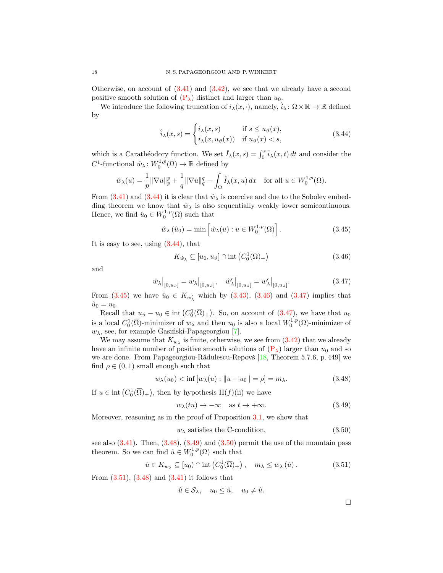Otherwise, on account of  $(3.41)$  and  $(3.42)$ , we see that we already have a second positive smooth solution of  $(P_{\lambda})$  $(P_{\lambda})$  distinct and larger than  $u_0$ .

We introduce the following truncation of  $i_{\lambda}(x, \cdot)$ , namely,  $\hat{i}_{\lambda} : \Omega \times \mathbb{R} \to \mathbb{R}$  defined by

<span id="page-17-0"></span>
$$
\hat{i}_{\lambda}(x,s) = \begin{cases} i_{\lambda}(x,s) & \text{if } s \le u_{\vartheta}(x), \\ i_{\lambda}(x,u_{\vartheta}(x)) & \text{if } u_{\vartheta}(x) < s, \end{cases}
$$
\n(3.44)

which is a Carathéodory function. We set  $\hat{I}_{\lambda}(x, s) = \int_0^s \hat{i}_{\lambda}(x, t) dt$  and consider the  $C^1$ -functional  $\hat{w}_{\lambda} \colon W_0^{1,p}(\Omega) \to \mathbb{R}$  defined by

$$
\hat{w}_{\lambda}(u) = \frac{1}{p} \|\nabla u\|_p^p + \frac{1}{q} \|\nabla u\|_q^q - \int_{\Omega} \hat{I}_{\lambda}(x, u) dx \quad \text{for all } u \in W_0^{1, p}(\Omega).
$$

From [\(3.41\)](#page-16-1) and [\(3.44\)](#page-17-0) it is clear that  $\hat{w}_{\lambda}$  is coercive and due to the Sobolev embedding theorem we know that  $\hat{w}_{\lambda}$  is also sequentially weakly lower semicontinuous. Hence, we find  $\hat{u}_0 \in W_0^{1,p}(\Omega)$  such that

$$
\hat{w}_{\lambda}(\hat{u}_0) = \min \left[ \hat{w}_{\lambda}(u) : u \in W_0^{1,p}(\Omega) \right]. \tag{3.45}
$$

It is easy to see, using  $(3.44)$ , that

<span id="page-17-3"></span><span id="page-17-2"></span><span id="page-17-1"></span>
$$
K_{\hat{w}_{\lambda}} \subseteq [u_0, u_{\vartheta}] \cap \text{int}\left(C_0^1(\overline{\Omega})_+\right) \tag{3.46}
$$

and

$$
\hat{w}_{\lambda}|_{[0,u_{\vartheta}]} = w_{\lambda}|_{[0,u_{\vartheta}]}, \quad \hat{w}'_{\lambda}|_{[0,u_{\vartheta}]} = w'_{\lambda}|_{[0,u_{\vartheta}]}.
$$
\n(3.47)

From  $(3.45)$  we have  $\hat{u}_0 \in K_{\hat{w}'_\lambda}$  which by  $(3.43)$ ,  $(3.46)$  and  $(3.47)$  implies that  $\hat{u}_0 = u_0.$ 

Recall that  $u_{\vartheta} - u_0 \in \text{int}(C_0^1(\overline{\Omega})_+)$ . So, on account of  $(3.47)$ , we have that  $u_0$ is a local  $C_0^1(\overline{\Omega})$ -minimizer of  $w_\lambda$  and then  $u_0$  is also a local  $W_0^{1,p}(\Omega)$ -minimizer of  $w_{\lambda}$ , see, for example Gasiński-Papageorgiou [\[7\]](#page-20-13).

We may assume that  $K_{w_{\lambda}}$  is finite, otherwise, we see from  $(3.42)$  that we already have an infinite number of positive smooth solutions of  $(P_\lambda)$  $(P_\lambda)$  larger than  $u_0$  and so we are done. From Papageorgiou-Rădulescu-Repovš [\[18,](#page-21-10) Theorem 5.7.6, p. 449] we find  $\rho \in (0,1)$  small enough such that

$$
w_{\lambda}(u_0) < \inf [w_{\lambda}(u) : ||u - u_0|| = \rho] = m_{\lambda}.
$$
 (3.48)

If  $u \in \text{int}(C_0^1(\overline{\Omega})_+)$ , then by hypothesis  $H(f)(ii)$  we have

$$
w_{\lambda}(tu) \to -\infty \quad \text{as } t \to +\infty. \tag{3.49}
$$

Moreover, reasoning as in the proof of Proposition [3.1,](#page-6-6) we show that

$$
w_{\lambda} \text{ satisfies the C-condition}, \tag{3.50}
$$

see also  $(3.41)$ . Then,  $(3.48)$ ,  $(3.49)$  and  $(3.50)$  permit the use of the mountain pass theorem. So we can find  $\hat{u} \in W_0^{1,p}(\Omega)$  such that

$$
\hat{u} \in K_{w_{\lambda}} \subseteq [u_0) \cap \text{int}\left(C_0^1(\overline{\Omega})_+\right), \quad m_{\lambda} \le w_{\lambda}(\hat{u}). \tag{3.51}
$$

From  $(3.51)$ ,  $(3.48)$  and  $(3.41)$  it follows that

$$
\hat{u} \in \mathcal{S}_{\lambda}, \quad u_0 \leq \hat{u}, \quad u_0 \neq \hat{u}.
$$

<span id="page-17-7"></span><span id="page-17-6"></span><span id="page-17-5"></span><span id="page-17-4"></span> $\Box$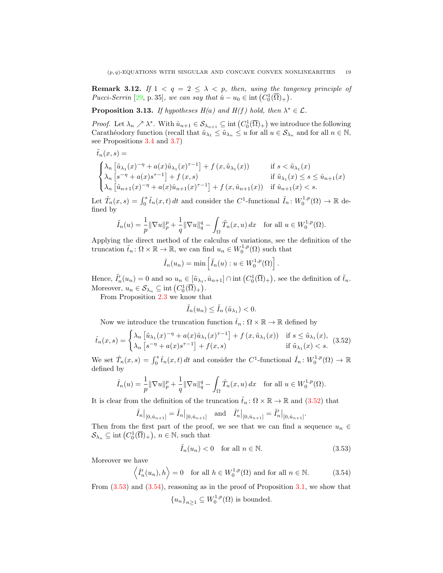**Remark 3.12.** If  $1 < q = 2 \leq \lambda < p$ , then, using the tangency principle of Pucci-Serrin [\[29,](#page-21-9) p. 35], we can say that  $\hat{u} - u_0 \in \text{int}(C_0^1(\overline{\Omega})_+)$ .

<span id="page-18-3"></span>**Proposition 3.13.** If hypotheses  $H(a)$  and  $H(f)$  hold, then  $\lambda^* \in \mathcal{L}$ .

*Proof.* Let  $\lambda_n \nearrow \lambda^*$ . With  $\hat{u}_{n+1} \in \mathcal{S}_{\lambda_{n+1}} \subseteq \text{int}(C_0^1(\overline{\Omega})_+)$  we introduce the following Carathéodory function (recall that  $\tilde{u}_{\lambda_1} \leq \tilde{u}_{\lambda_n} \leq u$  for all  $u \in \mathcal{S}_{\lambda_n}$  and for all  $n \in \mathbb{N}$ , see Propositions [3.4](#page-11-3) and [3.7\)](#page-13-2)

$$
\tilde{t}_n(x,s) = \begin{cases}\n\lambda_n \left[ \tilde{u}_{\lambda_1}(x)^{-\eta} + a(x)\tilde{u}_{\lambda_1}(x)^{\tau-1} \right] + f(x, \tilde{u}_{\lambda_1}(x)) & \text{if } s < \tilde{u}_{\lambda_1}(x) \\
\lambda_n \left[ s^{-\eta} + a(x)s^{\tau-1} \right] + f(x,s) & \text{if } \tilde{u}_{\lambda_1}(x) \le s \le \hat{u}_{n+1}(x) \\
\lambda_n \left[ \hat{u}_{n+1}(x)^{-\eta} + a(x)\hat{u}_{n+1}(x)^{\tau-1} \right] + f(x, \hat{u}_{n+1}(x)) & \text{if } \hat{u}_{n+1}(x) < s.\n\end{cases}
$$

Let  $\tilde{T}_n(x,s) = \int_0^s \tilde{t}_n(x,t) dt$  and consider the C<sup>1</sup>-functional  $\tilde{I}_n : W_0^{1,p}(\Omega) \to \mathbb{R}$  defined by

$$
\tilde{I}_n(u) = \frac{1}{p} \|\nabla u\|_p^p + \frac{1}{q} \|\nabla u\|_q^q - \int_{\Omega} \tilde{T}_n(x, u) dx \quad \text{for all } u \in W_0^{1, p}(\Omega).
$$

Applying the direct method of the calculus of variations, see the definition of the truncation  $\tilde{t}_n : \Omega \times \mathbb{R} \to \mathbb{R}$ , we can find  $u_n \in W_0^{1,p}(\Omega)$  such that

$$
\tilde{I}_n(u_n) = \min \left[ \tilde{I}_n(u) : u \in W_0^{1,p}(\Omega) \right].
$$

Hence,  $\tilde{I}'_n(u_n) = 0$  and so  $u_n \in [\tilde{u}_{\lambda_1}, \hat{u}_{n+1}] \cap \text{int}(C_0^1(\overline{\Omega})_+)$ , see the definition of  $\tilde{t}_n$ . Moreover,  $u_n \in \mathcal{S}_{\lambda_n} \subseteq \text{int}(C_0^1(\overline{\Omega})_+).$ 

From Proposition [2.3](#page-4-4) we know that

<span id="page-18-0"></span>
$$
\tilde{I}_n(u_n) \leq \tilde{I}_n(\tilde{u}_{\lambda_1}) < 0.
$$

Now we introduce the truncation function  $\hat{t}_n : \Omega \times \mathbb{R} \to \mathbb{R}$  defined by

$$
\hat{t}_n(x,s) = \begin{cases} \lambda_n \left[ \tilde{u}_{\lambda_1}(x)^{-\eta} + a(x)\tilde{u}_{\lambda_1}(x)^{\tau-1} \right] + f(x,\tilde{u}_{\lambda_1}(x)) & \text{if } s \le \tilde{u}_{\lambda_1}(x), \\ \lambda_n \left[ s^{-\eta} + a(x)s^{\tau-1} \right] + f(x,s) & \text{if } \tilde{u}_{\lambda_1}(x) < s. \end{cases}
$$
(3.52)

We set  $\hat{T}_n(x,s) = \int_0^s \hat{t}_n(x,t) dt$  and consider the C<sup>1</sup>-functional  $\hat{I}_n : W_0^{1,p}(\Omega) \to \mathbb{R}$ defined by

$$
\hat{I}_n(u) = \frac{1}{p} \|\nabla u\|_p^p + \frac{1}{q} \|\nabla u\|_q^q - \int_{\Omega} \hat{T}_n(x, u) \, dx \quad \text{for all } u \in W_0^{1, p}(\Omega).
$$

It is clear from the definition of the truncation  $\tilde{t}_n : \Omega \times \mathbb{R} \to \mathbb{R}$  and  $(3.52)$  that

$$
\hat{I}_n|_{[0,\hat{u}_{n+1}]} = \tilde{I}_n|_{[0,\hat{u}_{n+1}]}
$$
 and  $\hat{I}'_n|_{[0,\hat{u}_{n+1}]} = \tilde{I}'_n|_{[0,\hat{u}_{n+1}]}$ .

Then from the first part of the proof, we see that we can find a sequence  $u_n \in$  $\mathcal{S}_{\lambda_n} \subseteq \text{int}(C_0^1(\overline{\Omega})_+), n \in \mathbb{N}$ , such that

<span id="page-18-2"></span><span id="page-18-1"></span>
$$
\hat{I}_n(u_n) < 0 \quad \text{for all } n \in \mathbb{N}.\tag{3.53}
$$

Moreover we have

$$
\langle \hat{I}'_n(u_n), h \rangle = 0
$$
 for all  $h \in W_0^{1,p}(\Omega)$  and for all  $n \in \mathbb{N}$ . (3.54)

From  $(3.53)$  and  $(3.54)$ , reasoning as in the proof of Proposition [3.1,](#page-6-6) we show that

$$
{u_n}_{n\geq 1} \subseteq W_0^{1,p}(\Omega)
$$
 is bounded.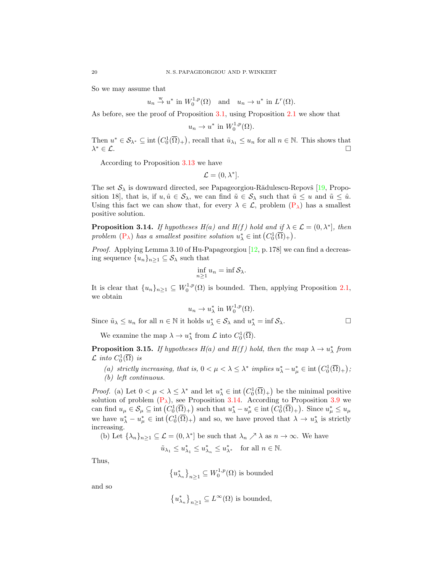So we may assume that

$$
u_n \stackrel{w}{\to} u^*
$$
 in  $W_0^{1,p}(\Omega)$  and  $u_n \to u^*$  in  $L^r(\Omega)$ .

As before, see the proof of Proposition [3.1,](#page-6-6) using Proposition [2.1](#page-3-1) we show that

$$
u_n \to u^* \text{ in } W_0^{1,p}(\Omega).
$$

Then  $u^* \in \mathcal{S}_{\lambda^*} \subseteq \text{int}(C_0^1(\overline{\Omega})_+)$ , recall that  $\tilde{u}_{\lambda_1} \leq u_n$  for all  $n \in \mathbb{N}$ . This shows that  $\lambda^* \in \mathcal{L}$ .  $* \in \mathcal{L}$ .

According to Proposition [3.13](#page-18-3) we have

$$
\mathcal{L} = (0, \lambda^*].
$$

The set  $S_\lambda$  is downward directed, see Papageorgiou-Rădulescu-Repovš [\[19,](#page-21-13) Proposition 18], that is, if  $u, \hat{u} \in \mathcal{S}_{\lambda}$ , we can find  $\tilde{u} \in \mathcal{S}_{\lambda}$  such that  $\tilde{u} \leq u$  and  $\tilde{u} \leq \hat{u}$ . Using this fact we can show that, for every  $\lambda \in \mathcal{L}$ , problem  $(P_{\lambda})$  $(P_{\lambda})$  has a smallest positive solution.

<span id="page-19-0"></span>**Proposition 3.14.** If hypotheses  $H(a)$  and  $H(f)$  hold and if  $\lambda \in \mathcal{L} = (0, \lambda^*)$ , then problem  $(P_{\lambda})$  $(P_{\lambda})$  has a smallest positive solution  $u_{\lambda}^{*} \in \text{int}(C_{0}^{1}(\overline{\Omega})_{+}).$ 

*Proof.* Applying Lemma 3.10 of Hu-Papageorgiou  $[12, p. 178]$  $[12, p. 178]$  we can find a decreasing sequence  $\{u_n\}_{n\geq 1} \subseteq \mathcal{S}_{\lambda}$  such that

$$
\inf_{n\geq 1} u_n = \inf \mathcal{S}_{\lambda}.
$$

It is clear that  $\{u_n\}_{n\geq 1} \subseteq W_0^{1,p}(\Omega)$  is bounded. Then, applying Proposition [2.1,](#page-3-1) we obtain

$$
u_n \to u_\lambda^*
$$
 in  $W_0^{1,p}(\Omega)$ .

Since  $\tilde{u}_{\lambda} \leq u_n$  for all  $n \in \mathbb{N}$  it holds  $u_{\lambda}^* \in \mathcal{S}_{\lambda}$  and  $u_{\lambda}^* = \inf \mathcal{S}_{\lambda}$ .

We examine the map  $\lambda \to u_{\lambda}^*$  from  $\mathcal{L}$  into  $C_0^1(\overline{\Omega})$ .

**Proposition 3.15.** If hypotheses  $H(a)$  and  $H(f)$  hold, then the map  $\lambda \to u_{\lambda}^*$  from  $\mathcal L$  into  $C_0^1(\overline{\Omega})$  is

(a) strictly increasing, that is,  $0 < \mu < \lambda \leq \lambda^*$  implies  $u_{\lambda}^* - u_{\mu}^* \in \text{int}(C_0^1(\overline{\Omega})_+)$ ; (b) left continuous.

*Proof.* (a) Let  $0 < \mu < \lambda \leq \lambda^*$  and let  $u_{\lambda}^* \in \text{int}(C_0^1(\overline{\Omega})_+)$  be the minimal positive solution of problem  $(P_{\lambda})$  $(P_{\lambda})$ , see Proposition [3.14.](#page-19-0) According to Proposition [3.9](#page-15-3) we can find  $u_{\mu} \in \mathcal{S}_{\mu} \subseteq \text{int}\left(C_0^1(\overline{\Omega})_+\right)$  such that  $u_{\lambda}^* - u_{\mu}^* \in \text{int}\left(C_0^1(\overline{\Omega})_+\right)$ . Since  $u_{\mu}^* \leq u_{\mu}$ we have  $u^*_{\lambda} - u^*_{\mu} \in \text{int}(C_0^1(\overline{\Omega})_+)$  and so, we have proved that  $\lambda \to u^*_{\lambda}$  is strictly increasing.

(b) Let  $\{\lambda_n\}_{n\geq 1}\subseteq \mathcal{L}=(0,\lambda^*)$  be such that  $\lambda_n\nearrow \lambda$  as  $n\to\infty$ . We have

$$
\tilde{u}_{\lambda_1}\leq u_{\lambda_1}^*\leq u_{\lambda_n}^*\leq u_{\lambda^*}^* \quad \text{for all }n\in\mathbb{N}.
$$

Thus,

$$
{u_{\lambda_n}^*}_{n\geq 1} \subseteq W_0^{1,p}(\Omega)
$$
 is bounded

and so

$$
\left\{u_{\lambda_n}^*\right\}_{n\geq 1}\subseteq L^\infty(\Omega)\text{ is bounded},
$$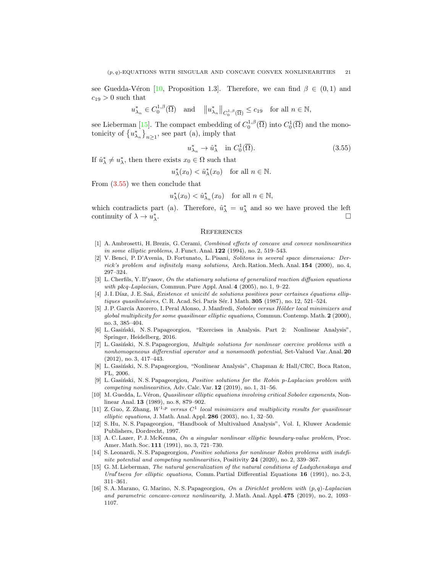see Guedda-Véron [\[10,](#page-20-15) Proposition 1.3]. Therefore, we can find  $\beta \in (0,1)$  and  $c_{19} > 0$  such that

$$
u^*_{\lambda_n} \in C_0^{1,\beta}(\overline{\Omega})
$$
 and  $||u^*_{\lambda_n}||_{C_0^{1,\beta}(\overline{\Omega})} \leq c_{19}$  for all  $n \in \mathbb{N}$ ,

see Lieberman [\[15\]](#page-20-8). The compact embedding of  $C_0^{1,\beta}(\overline{\Omega})$  into  $C_0^1(\overline{\Omega})$  and the monotonicity of  $\{u_{\lambda_n}^*\}_{n\geq 1}$ , see part (a), imply that

<span id="page-20-16"></span>
$$
u_{\lambda_n}^* \to \hat{u}_\lambda^* \quad \text{in } C_0^1(\overline{\Omega}). \tag{3.55}
$$

If  $\hat{u}^*_{\lambda} \neq u^*_{\lambda}$ , then there exists  $x_0 \in \Omega$  such that

$$
u_{\lambda}^*(x_0) < \hat{u}_{\lambda}^*(x_0) \quad \text{for all } n \in \mathbb{N}.
$$

From [\(3.55\)](#page-20-16) we then conclude that

$$
u_{\lambda}^*(x_0) < \hat{u}_{\lambda_n}^*(x_0) \quad \text{for all } n \in \mathbb{N},
$$

which contradicts part (a). Therefore,  $\hat{u}^*_{\lambda} = u^*_{\lambda}$  and so we have proved the left continuity of  $\lambda \to u_{\lambda}^*$ .

#### **REFERENCES**

- <span id="page-20-0"></span>[1] A. Ambrosetti, H. Brezis, G. Cerami, Combined effects of concave and convex nonlinearities in some elliptic problems, J. Funct. Anal. **122** (1994), no. 2, 519–543.
- <span id="page-20-5"></span>[2] V. Benci, P. D'Avenia, D. Fortunato, L. Pisani, Solitons in several space dimensions: Derrick's problem and infinitely many solutions, Arch. Ration. Mech. Anal. 154 (2000), no. 4, 297–324.
- <span id="page-20-6"></span>[3] L. Cherfils, Y. Il'yasov, On the stationary solutions of generalized reaction diffusion equations with p&q-Laplacian, Commun. Pure Appl. Anal. 4 (2005), no. 1, 9–22.
- <span id="page-20-9"></span>[4] J. I. Díaz, J. E. Saá, Existence et unicité de solutions positives pour certaines équations elliptiques quasilinéaires, C. R. Acad. Sci. Paris Sér. I Math.  $305$  (1987), no. 12, 521–524.
- <span id="page-20-1"></span>[5] J. P. García Azorero, I. Peral Alonso, J. Manfredi, Sobolev versus Hölder local minimizers and  $qlobal$  multiplicity for some quasilinear elliptic equations, Commun. Contemp. Math.  $2$  (2000), no. 3, 385–404.
- <span id="page-20-7"></span>[6] L. Gasiński, N. S. Papageorgiou, "Exercises in Analysis. Part 2: Nonlinear Analysis", Springer, Heidelberg, 2016.
- <span id="page-20-13"></span>[7] L. Gasiński, N. S. Papageorgiou, Multiple solutions for nonlinear coercive problems with a nonhomogeneous differential operator and a nonsmooth potential, Set-Valued Var. Anal. 20 (2012), no. 3, 417–443.
- <span id="page-20-11"></span>[8] L. Gasiński, N. S. Papageorgiou, "Nonlinear Analysis", Chapman & Hall/CRC, Boca Raton, FL, 2006.
- <span id="page-20-12"></span>[9] L. Gasiński, N. S. Papageorgiou, Positive solutions for the Robin p-Laplacian problem with competing nonlinearities, Adv. Calc. Var. 12 (2019), no. 1, 31–56.
- <span id="page-20-15"></span>[10] M. Guedda, L. Véron, *Quasilinear elliptic equations involving critical Sobolev exponents*, Nonlinear Anal. 13 (1989), no. 8, 879–902.
- <span id="page-20-2"></span>[11] Z. Guo, Z. Zhang,  $W^{1,p}$  versus  $C^1$  local minimizers and multiplicity results for quasilinear elliptic equations, J. Math. Anal. Appl.  $286$  (2003), no. 1, 32–50.
- <span id="page-20-14"></span>[12] S. Hu, N. S. Papageorgiou, "Handbook of Multivalued Analysis", Vol. I, Kluwer Academic Publishers, Dordrecht, 1997.
- <span id="page-20-10"></span>[13] A. C. Lazer, P. J. McKenna, On a singular nonlinear elliptic boundary-value problem, Proc. Amer. Math. Soc. 111 (1991), no. 3, 721–730.
- <span id="page-20-3"></span>[14] S. Leonardi, N. S. Papageorgiou, Positive solutions for nonlinear Robin problems with indefinite potential and competing nonlinearities, Positivity 24 (2020), no. 2, 339–367.
- <span id="page-20-8"></span>[15] G. M. Lieberman, The natural generalization of the natural conditions of Ladyzhenskaya and Ural' tseva for elliptic equations, Comm. Partial Differential Equations  $16$  (1991), no. 2-3, 311–361.
- <span id="page-20-4"></span>[16] S. A. Marano, G. Marino, N. S. Papageorgiou, On a Dirichlet problem with (p, q)-Laplacian and parametric concave-convex nonlinearity, J. Math. Anal. Appl. 475 (2019), no. 2, 1093– 1107.